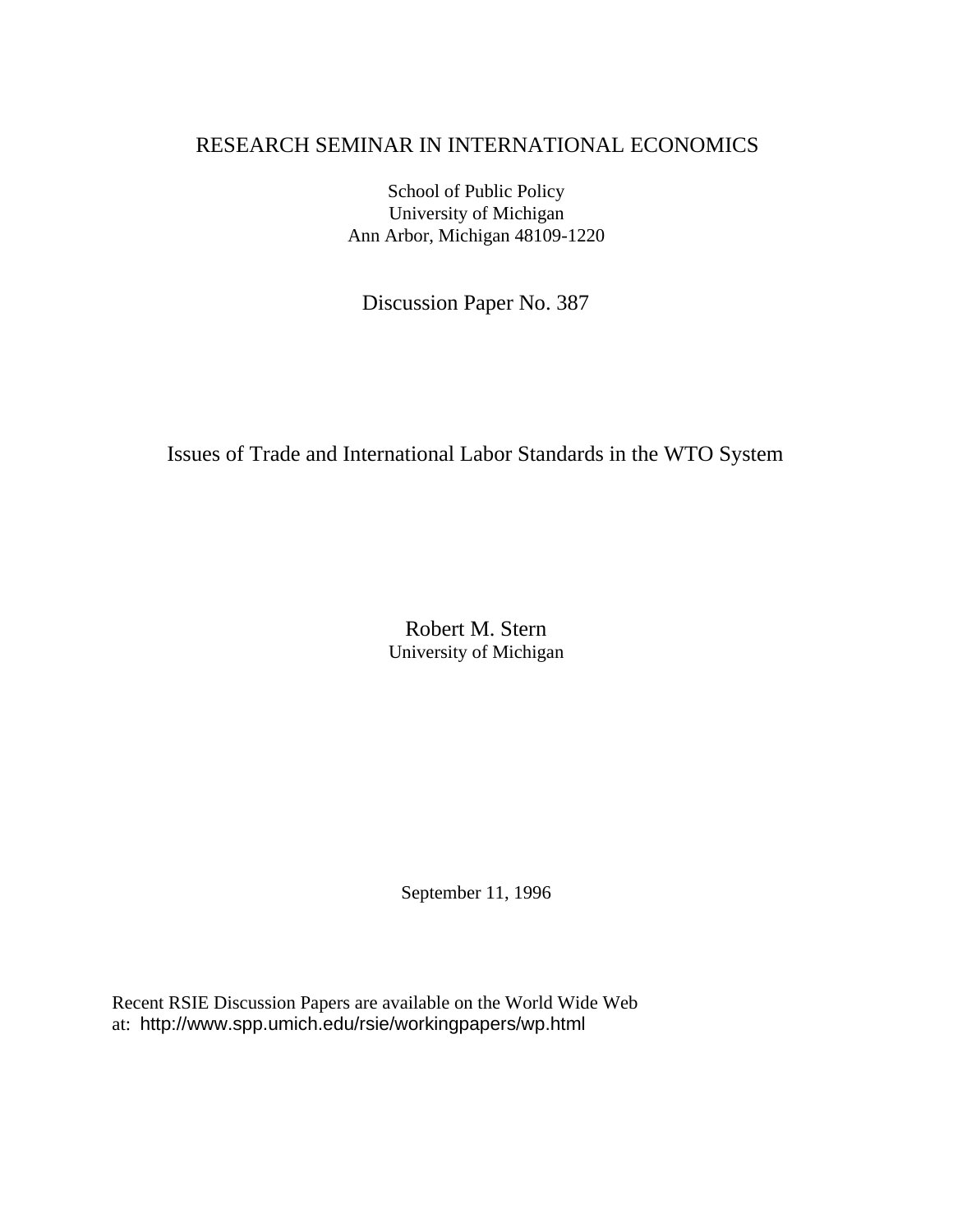# RESEARCH SEMINAR IN INTERNATIONAL ECONOMICS

School of Public Policy University of Michigan Ann Arbor, Michigan 48109-1220

Discussion Paper No. 387

# Issues of Trade and International Labor Standards in the WTO System

Robert M. Stern University of Michigan

September 11, 1996

Recent RSIE Discussion Papers are available on the World Wide Web at: http://www.spp.umich.edu/rsie/workingpapers/wp.html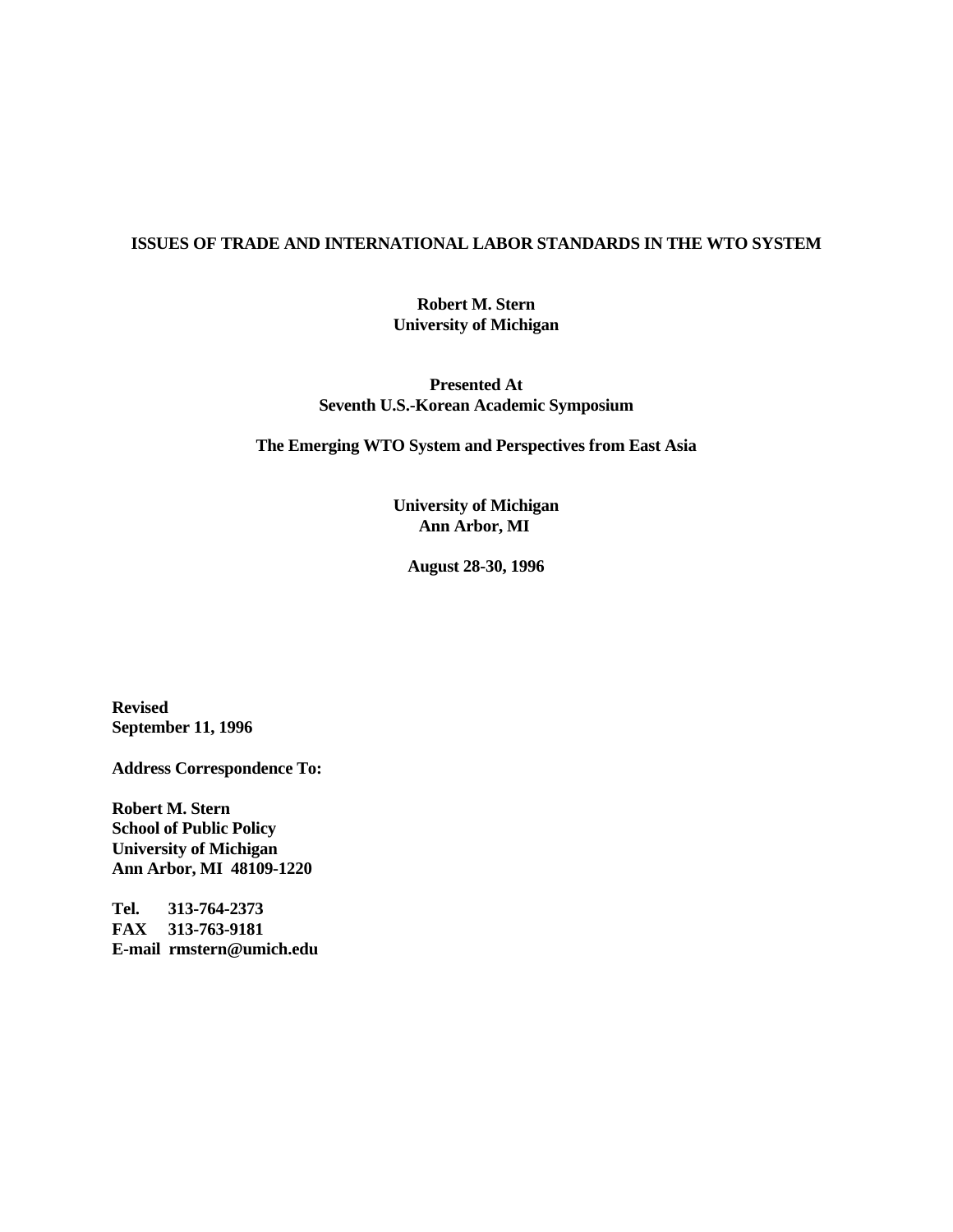# **ISSUES OF TRADE AND INTERNATIONAL LABOR STANDARDS IN THE WTO SYSTEM**

**Robert M. Stern University of Michigan**

**Presented At Seventh U.S.-Korean Academic Symposium**

**The Emerging WTO System and Perspectives from East Asia**

**University of Michigan Ann Arbor, MI** 

**August 28-30, 1996**

**Revised September 11, 1996**

**Address Correspondence To:**

**Robert M. Stern School of Public Policy University of Michigan Ann Arbor, MI 48109-1220**

**Tel. 313-764-2373 FAX 313-763-9181 E-mail rmstern@umich.edu**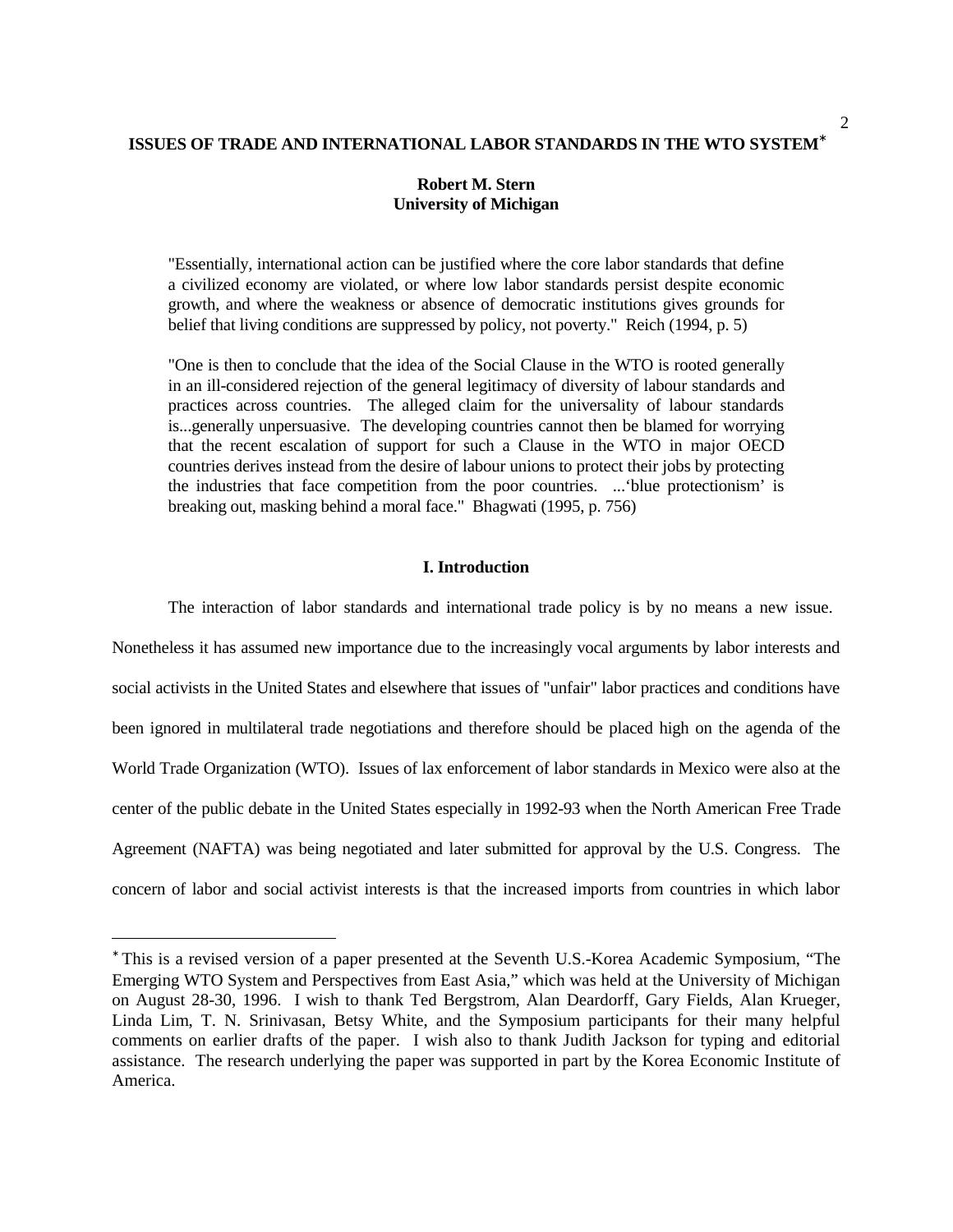# **Robert M. Stern University of Michigan**

"Essentially, international action can be justified where the core labor standards that define a civilized economy are violated, or where low labor standards persist despite economic growth, and where the weakness or absence of democratic institutions gives grounds for belief that living conditions are suppressed by policy, not poverty." Reich (1994, p. 5)

"One is then to conclude that the idea of the Social Clause in the WTO is rooted generally in an ill-considered rejection of the general legitimacy of diversity of labour standards and practices across countries. The alleged claim for the universality of labour standards is...generally unpersuasive. The developing countries cannot then be blamed for worrying that the recent escalation of support for such a Clause in the WTO in major OECD countries derives instead from the desire of labour unions to protect their jobs by protecting the industries that face competition from the poor countries. ...'blue protectionism' is breaking out, masking behind a moral face." Bhagwati (1995, p. 756)

# **I. Introduction**

The interaction of labor standards and international trade policy is by no means a new issue. Nonetheless it has assumed new importance due to the increasingly vocal arguments by labor interests and social activists in the United States and elsewhere that issues of "unfair" labor practices and conditions have been ignored in multilateral trade negotiations and therefore should be placed high on the agenda of the World Trade Organization (WTO). Issues of lax enforcement of labor standards in Mexico were also at the center of the public debate in the United States especially in 1992-93 when the North American Free Trade Agreement (NAFTA) was being negotiated and later submitted for approval by the U.S. Congress. The concern of labor and social activist interests is that the increased imports from countries in which labor

<sup>∗</sup> This is a revised version of a paper presented at the Seventh U.S.-Korea Academic Symposium, "The Emerging WTO System and Perspectives from East Asia," which was held at the University of Michigan on August 28-30, 1996. I wish to thank Ted Bergstrom, Alan Deardorff, Gary Fields, Alan Krueger, Linda Lim, T. N. Srinivasan, Betsy White, and the Symposium participants for their many helpful comments on earlier drafts of the paper. I wish also to thank Judith Jackson for typing and editorial assistance. The research underlying the paper was supported in part by the Korea Economic Institute of America.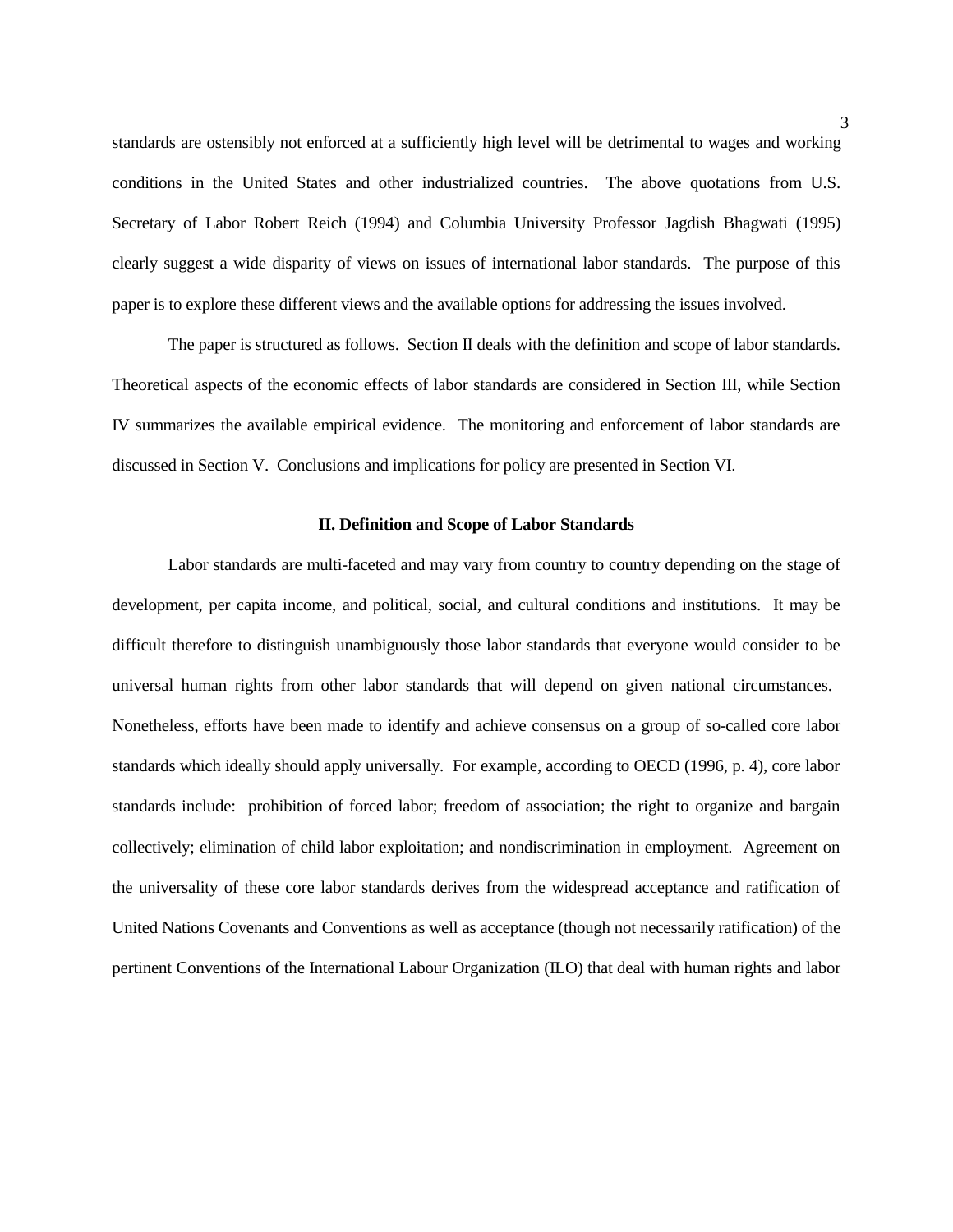standards are ostensibly not enforced at a sufficiently high level will be detrimental to wages and working conditions in the United States and other industrialized countries. The above quotations from U.S. Secretary of Labor Robert Reich (1994) and Columbia University Professor Jagdish Bhagwati (1995) clearly suggest a wide disparity of views on issues of international labor standards. The purpose of this paper is to explore these different views and the available options for addressing the issues involved.

The paper is structured as follows. Section II deals with the definition and scope of labor standards. Theoretical aspects of the economic effects of labor standards are considered in Section III, while Section IV summarizes the available empirical evidence. The monitoring and enforcement of labor standards are discussed in Section V. Conclusions and implications for policy are presented in Section VI.

#### **II. Definition and Scope of Labor Standards**

Labor standards are multi-faceted and may vary from country to country depending on the stage of development, per capita income, and political, social, and cultural conditions and institutions. It may be difficult therefore to distinguish unambiguously those labor standards that everyone would consider to be universal human rights from other labor standards that will depend on given national circumstances. Nonetheless, efforts have been made to identify and achieve consensus on a group of so-called core labor standards which ideally should apply universally. For example, according to OECD (1996, p. 4), core labor standards include: prohibition of forced labor; freedom of association; the right to organize and bargain collectively; elimination of child labor exploitation; and nondiscrimination in employment. Agreement on the universality of these core labor standards derives from the widespread acceptance and ratification of United Nations Covenants and Conventions as well as acceptance (though not necessarily ratification) of the pertinent Conventions of the International Labour Organization (ILO) that deal with human rights and labor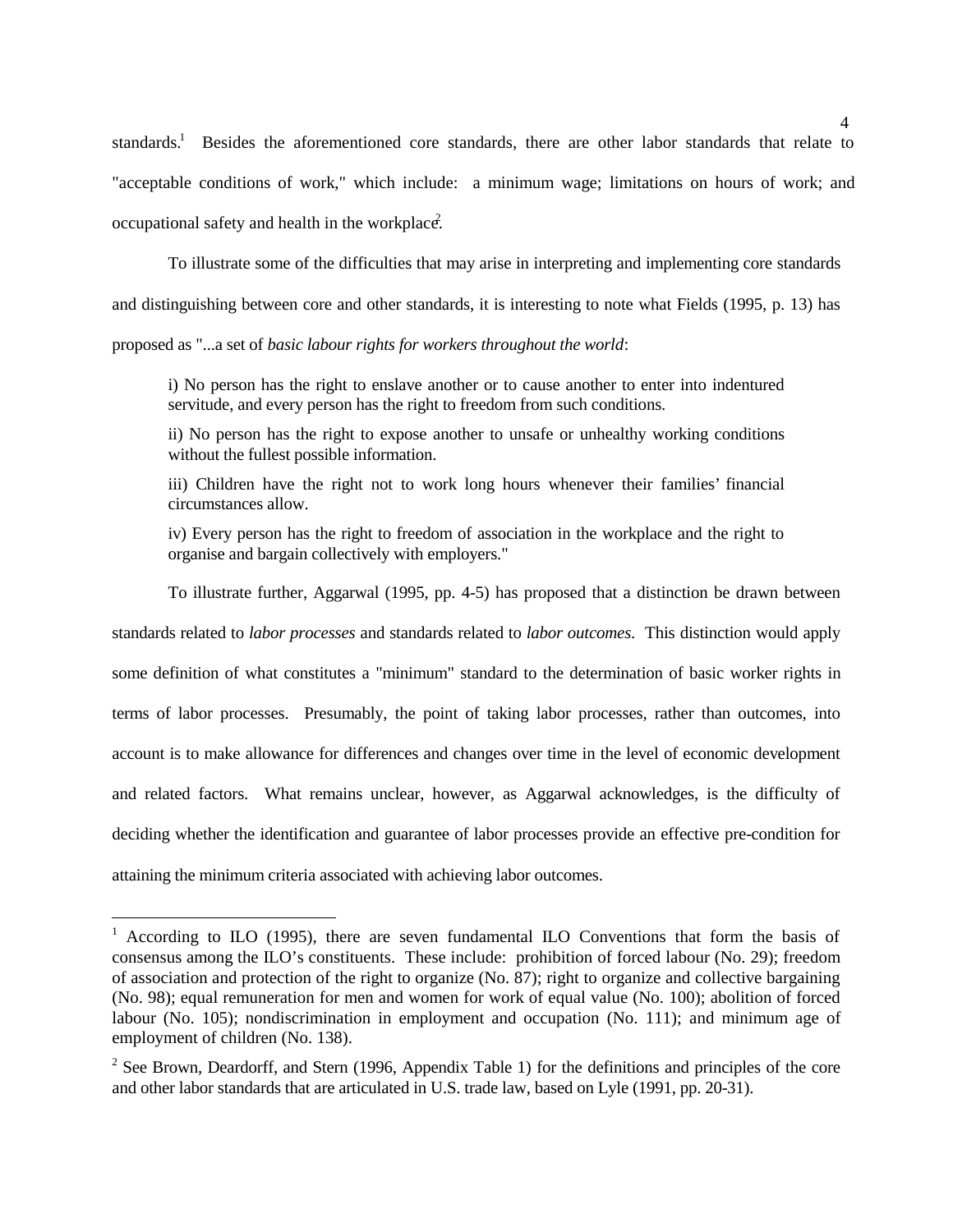standards.<sup>1</sup> Besides the aforementioned core standards, there are other labor standards that relate to "acceptable conditions of work," which include: a minimum wage; limitations on hours of work; and occupational safety and health in the workplace.

To illustrate some of the difficulties that may arise in interpreting and implementing core standards and distinguishing between core and other standards, it is interesting to note what Fields (1995, p. 13) has proposed as "...a set of *basic labour rights for workers throughout the world*:

i) No person has the right to enslave another or to cause another to enter into indentured servitude, and every person has the right to freedom from such conditions.

ii) No person has the right to expose another to unsafe or unhealthy working conditions without the fullest possible information.

iii) Children have the right not to work long hours whenever their families' financial circumstances allow.

iv) Every person has the right to freedom of association in the workplace and the right to organise and bargain collectively with employers."

To illustrate further, Aggarwal (1995, pp. 4-5) has proposed that a distinction be drawn between

standards related to *labor processes* and standards related to *labor outcomes*. This distinction would apply some definition of what constitutes a "minimum" standard to the determination of basic worker rights in terms of labor processes. Presumably, the point of taking labor processes, rather than outcomes, into account is to make allowance for differences and changes over time in the level of economic development and related factors. What remains unclear, however, as Aggarwal acknowledges, is the difficulty of deciding whether the identification and guarantee of labor processes provide an effective pre-condition for attaining the minimum criteria associated with achieving labor outcomes.

<sup>&</sup>lt;sup>1</sup> According to ILO (1995), there are seven fundamental ILO Conventions that form the basis of consensus among the ILO's constituents. These include: prohibition of forced labour (No. 29); freedom of association and protection of the right to organize (No. 87); right to organize and collective bargaining (No. 98); equal remuneration for men and women for work of equal value (No. 100); abolition of forced labour (No. 105); nondiscrimination in employment and occupation (No. 111); and minimum age of employment of children (No. 138).

<sup>&</sup>lt;sup>2</sup> See Brown, Deardorff, and Stern (1996, Appendix Table 1) for the definitions and principles of the core and other labor standards that are articulated in U.S. trade law, based on Lyle (1991, pp. 20-31).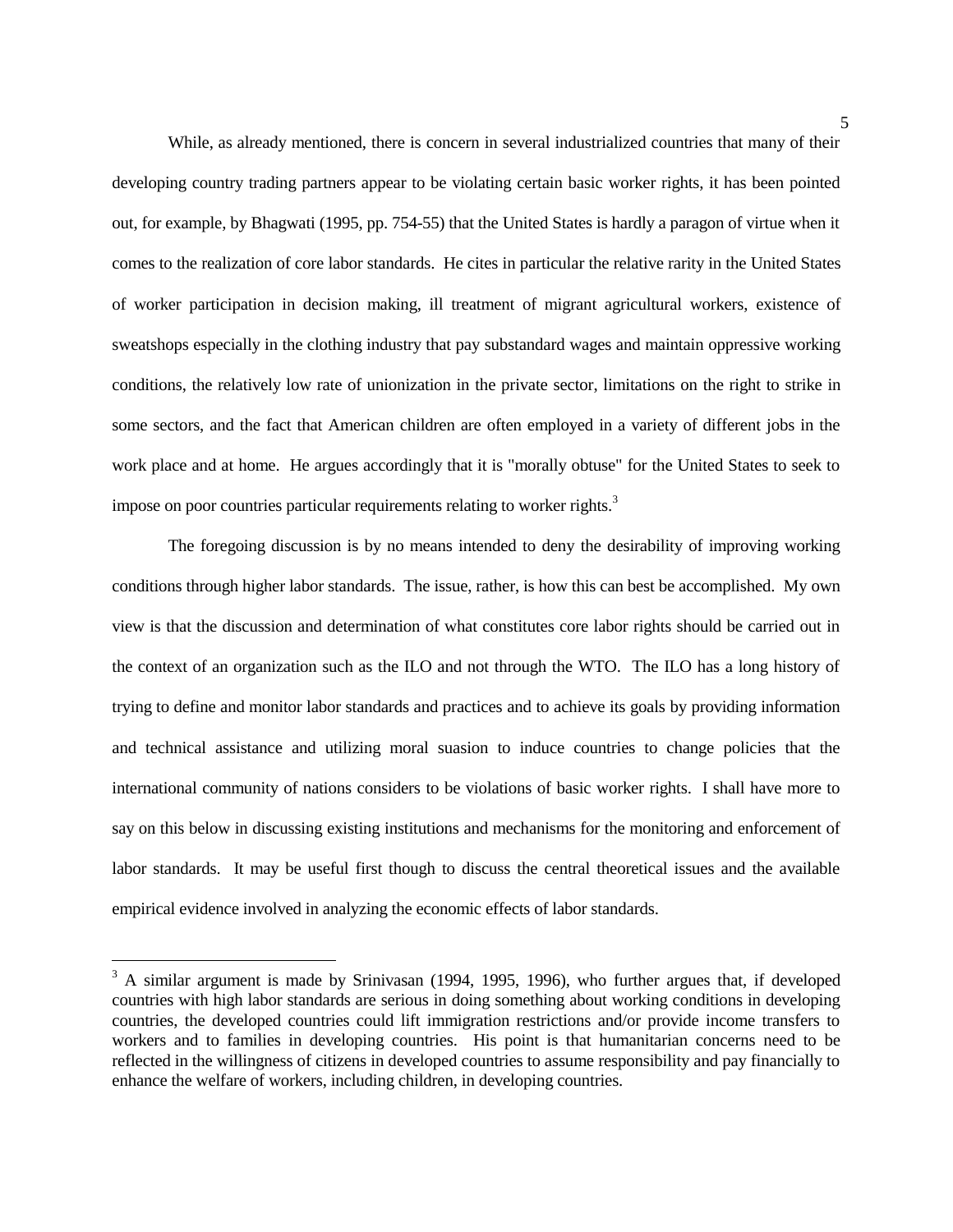While, as already mentioned, there is concern in several industrialized countries that many of their developing country trading partners appear to be violating certain basic worker rights, it has been pointed out, for example, by Bhagwati (1995, pp. 754-55) that the United States is hardly a paragon of virtue when it comes to the realization of core labor standards. He cites in particular the relative rarity in the United States of worker participation in decision making, ill treatment of migrant agricultural workers, existence of sweatshops especially in the clothing industry that pay substandard wages and maintain oppressive working conditions, the relatively low rate of unionization in the private sector, limitations on the right to strike in some sectors, and the fact that American children are often employed in a variety of different jobs in the work place and at home. He argues accordingly that it is "morally obtuse" for the United States to seek to impose on poor countries particular requirements relating to worker rights.<sup>3</sup>

The foregoing discussion is by no means intended to deny the desirability of improving working conditions through higher labor standards. The issue, rather, is how this can best be accomplished. My own view is that the discussion and determination of what constitutes core labor rights should be carried out in the context of an organization such as the ILO and not through the WTO. The ILO has a long history of trying to define and monitor labor standards and practices and to achieve its goals by providing information and technical assistance and utilizing moral suasion to induce countries to change policies that the international community of nations considers to be violations of basic worker rights. I shall have more to say on this below in discussing existing institutions and mechanisms for the monitoring and enforcement of labor standards. It may be useful first though to discuss the central theoretical issues and the available empirical evidence involved in analyzing the economic effects of labor standards.

 $3$  A similar argument is made by Srinivasan (1994, 1995, 1996), who further argues that, if developed countries with high labor standards are serious in doing something about working conditions in developing countries, the developed countries could lift immigration restrictions and/or provide income transfers to workers and to families in developing countries. His point is that humanitarian concerns need to be reflected in the willingness of citizens in developed countries to assume responsibility and pay financially to enhance the welfare of workers, including children, in developing countries.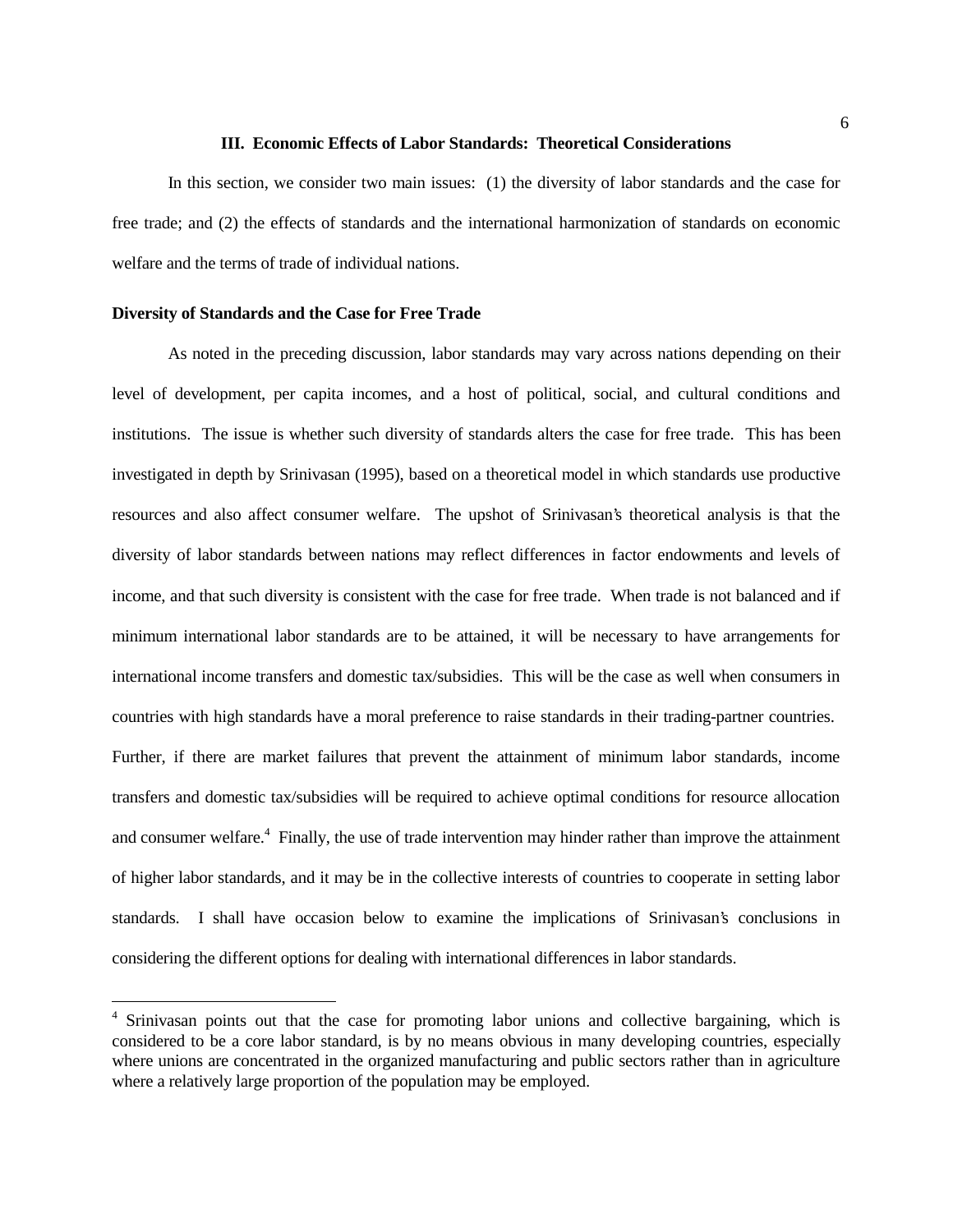### **III. Economic Effects of Labor Standards: Theoretical Considerations**

In this section, we consider two main issues: (1) the diversity of labor standards and the case for free trade; and (2) the effects of standards and the international harmonization of standards on economic welfare and the terms of trade of individual nations.

#### **Diversity of Standards and the Case for Free Trade**

 $\overline{a}$ 

As noted in the preceding discussion, labor standards may vary across nations depending on their level of development, per capita incomes, and a host of political, social, and cultural conditions and institutions. The issue is whether such diversity of standards alters the case for free trade. This has been investigated in depth by Srinivasan (1995), based on a theoretical model in which standards use productive resources and also affect consumer welfare. The upshot of Srinivasan's theoretical analysis is that the diversity of labor standards between nations may reflect differences in factor endowments and levels of income, and that such diversity is consistent with the case for free trade. When trade is not balanced and if minimum international labor standards are to be attained, it will be necessary to have arrangements for international income transfers and domestic tax/subsidies. This will be the case as well when consumers in countries with high standards have a moral preference to raise standards in their trading-partner countries. Further, if there are market failures that prevent the attainment of minimum labor standards, income transfers and domestic tax/subsidies will be required to achieve optimal conditions for resource allocation and consumer welfare.<sup>4</sup> Finally, the use of trade intervention may hinder rather than improve the attainment of higher labor standards, and it may be in the collective interests of countries to cooperate in setting labor standards. I shall have occasion below to examine the implications of Srinivasan's conclusions in considering the different options for dealing with international differences in labor standards.

<sup>&</sup>lt;sup>4</sup> Srinivasan points out that the case for promoting labor unions and collective bargaining, which is considered to be a core labor standard, is by no means obvious in many developing countries, especially where unions are concentrated in the organized manufacturing and public sectors rather than in agriculture where a relatively large proportion of the population may be employed.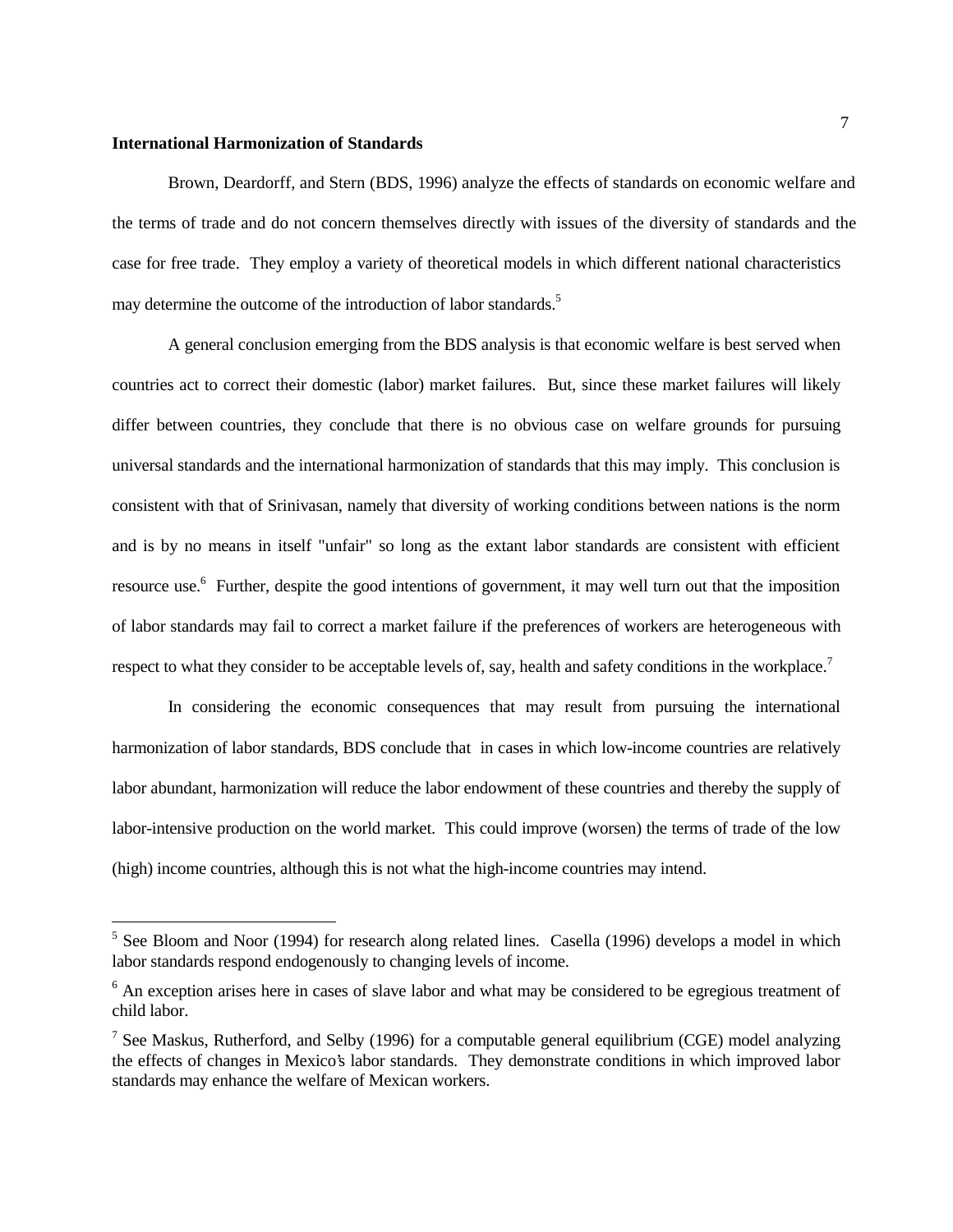#### **International Harmonization of Standards**

 $\overline{a}$ 

Brown, Deardorff, and Stern (BDS, 1996) analyze the effects of standards on economic welfare and the terms of trade and do not concern themselves directly with issues of the diversity of standards and the case for free trade. They employ a variety of theoretical models in which different national characteristics may determine the outcome of the introduction of labor standards.<sup>5</sup>

A general conclusion emerging from the BDS analysis is that economic welfare is best served when countries act to correct their domestic (labor) market failures. But, since these market failures will likely differ between countries, they conclude that there is no obvious case on welfare grounds for pursuing universal standards and the international harmonization of standards that this may imply. This conclusion is consistent with that of Srinivasan, namely that diversity of working conditions between nations is the norm and is by no means in itself "unfair" so long as the extant labor standards are consistent with efficient resource use.<sup>6</sup> Further, despite the good intentions of government, it may well turn out that the imposition of labor standards may fail to correct a market failure if the preferences of workers are heterogeneous with respect to what they consider to be acceptable levels of, say, health and safety conditions in the workplace.<sup>7</sup>

In considering the economic consequences that may result from pursuing the international harmonization of labor standards, BDS conclude that in cases in which low-income countries are relatively labor abundant, harmonization will reduce the labor endowment of these countries and thereby the supply of labor-intensive production on the world market. This could improve (worsen) the terms of trade of the low (high) income countries, although this is not what the high-income countries may intend.

<sup>&</sup>lt;sup>5</sup> See Bloom and Noor (1994) for research along related lines. Casella (1996) develops a model in which labor standards respond endogenously to changing levels of income.

<sup>&</sup>lt;sup>6</sup> An exception arises here in cases of slave labor and what may be considered to be egregious treatment of child labor.

<sup>&</sup>lt;sup>7</sup> See Maskus, Rutherford, and Selby (1996) for a computable general equilibrium (CGE) model analyzing the effects of changes in Mexico's labor standards. They demonstrate conditions in which improved labor standards may enhance the welfare of Mexican workers.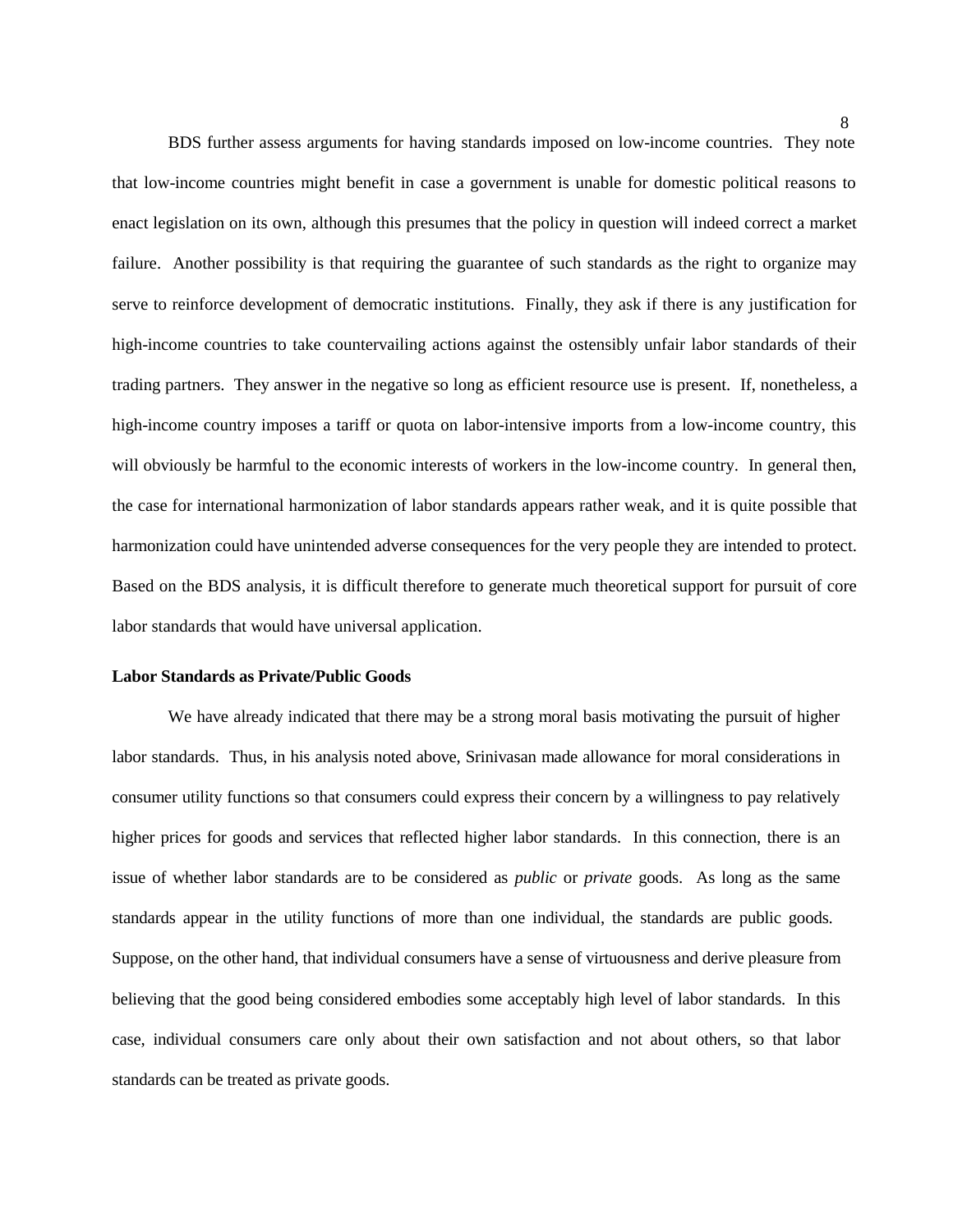BDS further assess arguments for having standards imposed on low-income countries. They note that low-income countries might benefit in case a government is unable for domestic political reasons to enact legislation on its own, although this presumes that the policy in question will indeed correct a market failure. Another possibility is that requiring the guarantee of such standards as the right to organize may serve to reinforce development of democratic institutions. Finally, they ask if there is any justification for high-income countries to take countervailing actions against the ostensibly unfair labor standards of their trading partners. They answer in the negative so long as efficient resource use is present. If, nonetheless, a high-income country imposes a tariff or quota on labor-intensive imports from a low-income country, this will obviously be harmful to the economic interests of workers in the low-income country. In general then, the case for international harmonization of labor standards appears rather weak, and it is quite possible that harmonization could have unintended adverse consequences for the very people they are intended to protect. Based on the BDS analysis, it is difficult therefore to generate much theoretical support for pursuit of core labor standards that would have universal application.

# **Labor Standards as Private/Public Goods**

We have already indicated that there may be a strong moral basis motivating the pursuit of higher labor standards. Thus, in his analysis noted above, Srinivasan made allowance for moral considerations in consumer utility functions so that consumers could express their concern by a willingness to pay relatively higher prices for goods and services that reflected higher labor standards. In this connection, there is an issue of whether labor standards are to be considered as *public* or *private* goods. As long as the same standards appear in the utility functions of more than one individual, the standards are public goods. Suppose, on the other hand, that individual consumers have a sense of virtuousness and derive pleasure from believing that the good being considered embodies some acceptably high level of labor standards. In this case, individual consumers care only about their own satisfaction and not about others, so that labor standards can be treated as private goods.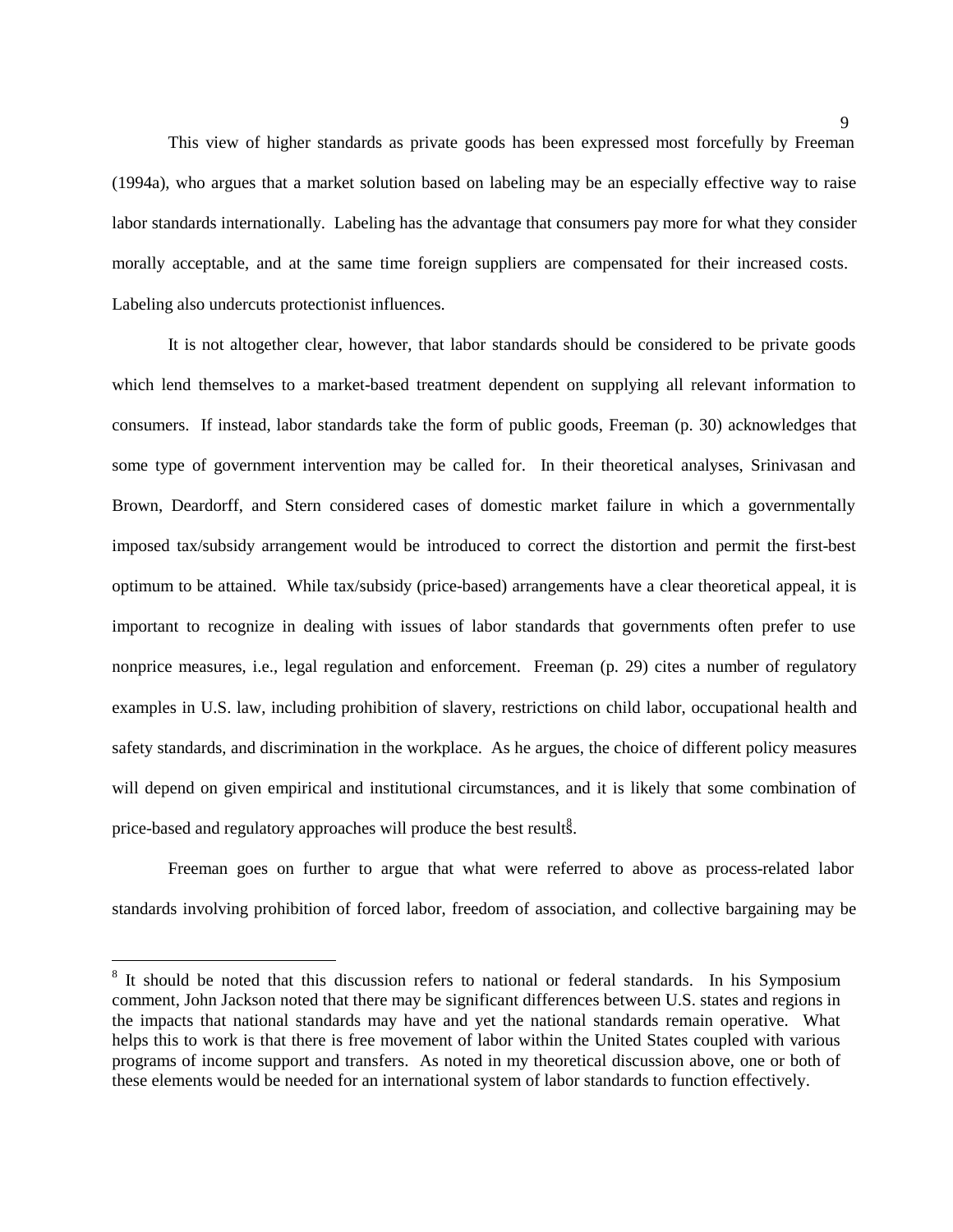This view of higher standards as private goods has been expressed most forcefully by Freeman (1994a), who argues that a market solution based on labeling may be an especially effective way to raise labor standards internationally. Labeling has the advantage that consumers pay more for what they consider morally acceptable, and at the same time foreign suppliers are compensated for their increased costs. Labeling also undercuts protectionist influences.

It is not altogether clear, however, that labor standards should be considered to be private goods which lend themselves to a market-based treatment dependent on supplying all relevant information to consumers. If instead, labor standards take the form of public goods, Freeman (p. 30) acknowledges that some type of government intervention may be called for. In their theoretical analyses, Srinivasan and Brown, Deardorff, and Stern considered cases of domestic market failure in which a governmentally imposed tax/subsidy arrangement would be introduced to correct the distortion and permit the first-best optimum to be attained. While tax/subsidy (price-based) arrangements have a clear theoretical appeal, it is important to recognize in dealing with issues of labor standards that governments often prefer to use nonprice measures, i.e., legal regulation and enforcement. Freeman (p. 29) cites a number of regulatory examples in U.S. law, including prohibition of slavery, restrictions on child labor, occupational health and safety standards, and discrimination in the workplace. As he argues, the choice of different policy measures will depend on given empirical and institutional circumstances, and it is likely that some combination of price-based and regulatory approaches will produce the best results.

Freeman goes on further to argue that what were referred to above as process-related labor standards involving prohibition of forced labor, freedom of association, and collective bargaining may be

<sup>&</sup>lt;sup>8</sup> It should be noted that this discussion refers to national or federal standards. In his Symposium comment, John Jackson noted that there may be significant differences between U.S. states and regions in the impacts that national standards may have and yet the national standards remain operative. What helps this to work is that there is free movement of labor within the United States coupled with various programs of income support and transfers. As noted in my theoretical discussion above, one or both of these elements would be needed for an international system of labor standards to function effectively.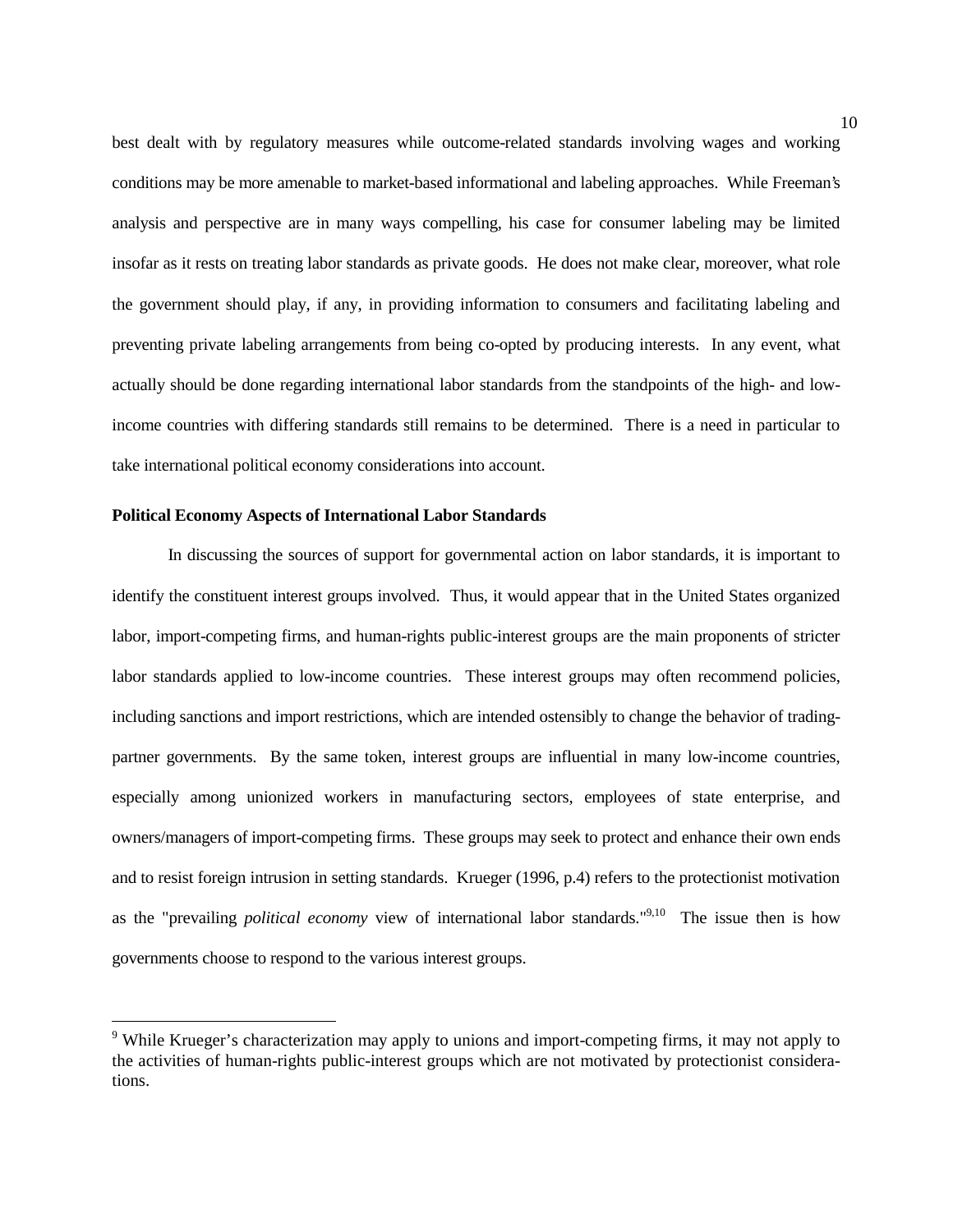best dealt with by regulatory measures while outcome-related standards involving wages and working conditions may be more amenable to market-based informational and labeling approaches. While Freeman's analysis and perspective are in many ways compelling, his case for consumer labeling may be limited insofar as it rests on treating labor standards as private goods. He does not make clear, moreover, what role the government should play, if any, in providing information to consumers and facilitating labeling and preventing private labeling arrangements from being co-opted by producing interests. In any event, what actually should be done regarding international labor standards from the standpoints of the high- and lowincome countries with differing standards still remains to be determined. There is a need in particular to take international political economy considerations into account.

## **Political Economy Aspects of International Labor Standards**

 $\overline{a}$ 

In discussing the sources of support for governmental action on labor standards, it is important to identify the constituent interest groups involved. Thus, it would appear that in the United States organized labor, import-competing firms, and human-rights public-interest groups are the main proponents of stricter labor standards applied to low-income countries. These interest groups may often recommend policies, including sanctions and import restrictions, which are intended ostensibly to change the behavior of tradingpartner governments. By the same token, interest groups are influential in many low-income countries, especially among unionized workers in manufacturing sectors, employees of state enterprise, and owners/managers of import-competing firms. These groups may seek to protect and enhance their own ends and to resist foreign intrusion in setting standards. Krueger (1996, p.4) refers to the protectionist motivation as the "prevailing *political economy* view of international labor standards."9,10 The issue then is how governments choose to respond to the various interest groups.

<sup>&</sup>lt;sup>9</sup> While Krueger's characterization may apply to unions and import-competing firms, it may not apply to the activities of human-rights public-interest groups which are not motivated by protectionist considerations.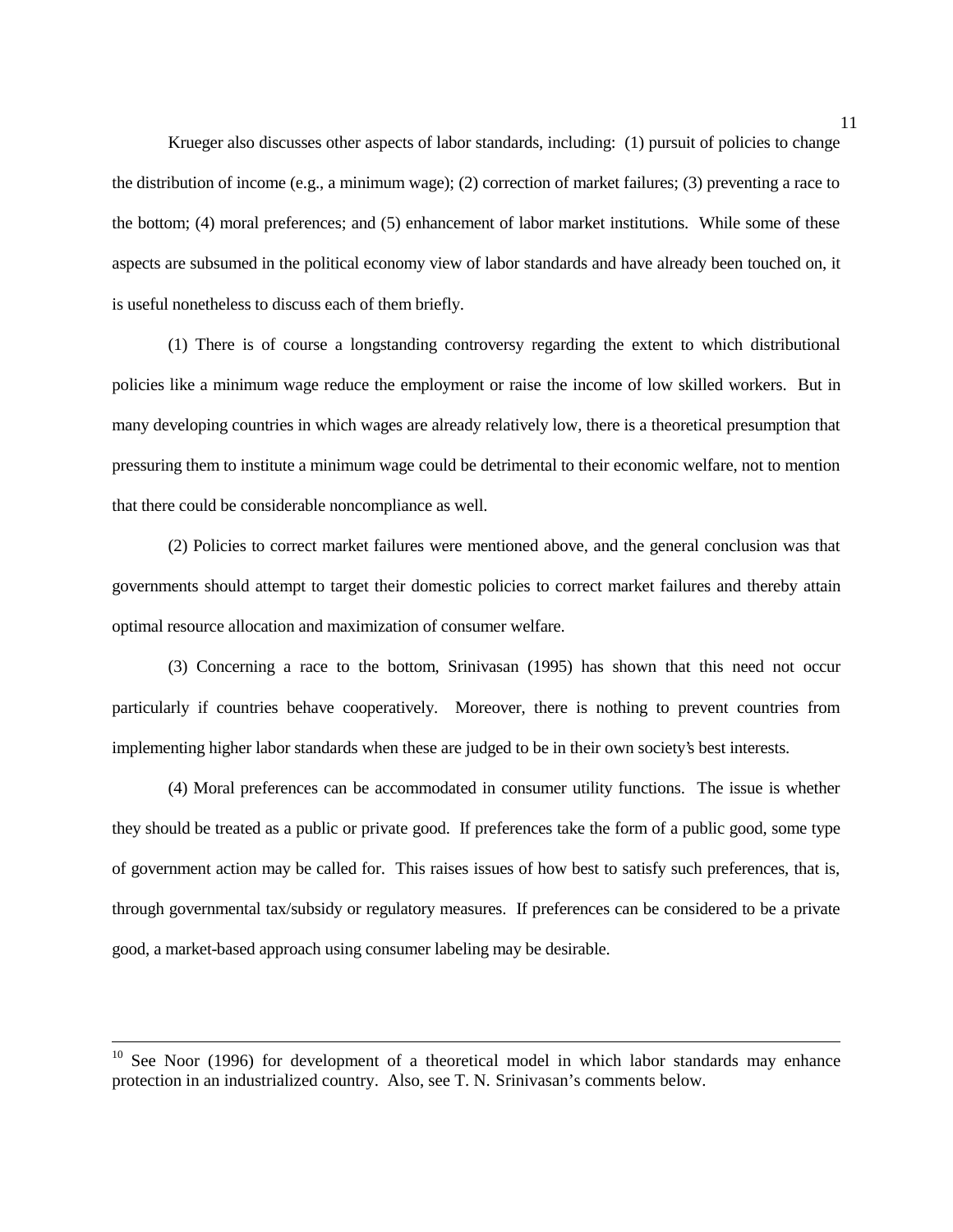Krueger also discusses other aspects of labor standards, including: (1) pursuit of policies to change the distribution of income (e.g., a minimum wage); (2) correction of market failures; (3) preventing a race to the bottom; (4) moral preferences; and (5) enhancement of labor market institutions. While some of these aspects are subsumed in the political economy view of labor standards and have already been touched on, it is useful nonetheless to discuss each of them briefly.

(1) There is of course a longstanding controversy regarding the extent to which distributional policies like a minimum wage reduce the employment or raise the income of low skilled workers. But in many developing countries in which wages are already relatively low, there is a theoretical presumption that pressuring them to institute a minimum wage could be detrimental to their economic welfare, not to mention that there could be considerable noncompliance as well.

(2) Policies to correct market failures were mentioned above, and the general conclusion was that governments should attempt to target their domestic policies to correct market failures and thereby attain optimal resource allocation and maximization of consumer welfare.

(3) Concerning a race to the bottom, Srinivasan (1995) has shown that this need not occur particularly if countries behave cooperatively. Moreover, there is nothing to prevent countries from implementing higher labor standards when these are judged to be in their own society's best interests.

(4) Moral preferences can be accommodated in consumer utility functions. The issue is whether they should be treated as a public or private good. If preferences take the form of a public good, some type of government action may be called for. This raises issues of how best to satisfy such preferences, that is, through governmental tax/subsidy or regulatory measures. If preferences can be considered to be a private good, a market-based approach using consumer labeling may be desirable.

 $10$  See Noor (1996) for development of a theoretical model in which labor standards may enhance protection in an industrialized country. Also, see T. N. Srinivasan's comments below.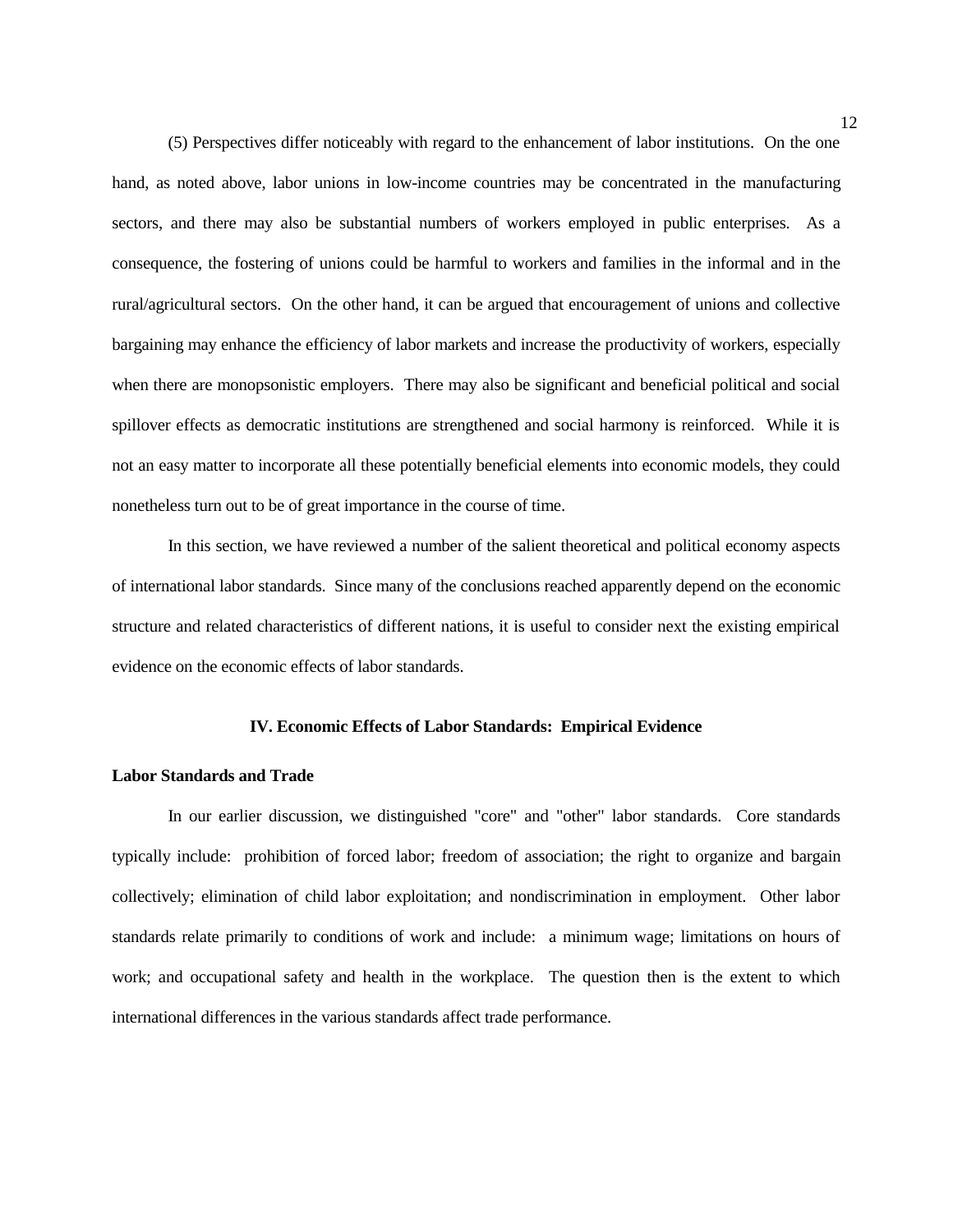(5) Perspectives differ noticeably with regard to the enhancement of labor institutions. On the one hand, as noted above, labor unions in low-income countries may be concentrated in the manufacturing sectors, and there may also be substantial numbers of workers employed in public enterprises. As a consequence, the fostering of unions could be harmful to workers and families in the informal and in the rural/agricultural sectors. On the other hand, it can be argued that encouragement of unions and collective bargaining may enhance the efficiency of labor markets and increase the productivity of workers, especially when there are monopsonistic employers. There may also be significant and beneficial political and social spillover effects as democratic institutions are strengthened and social harmony is reinforced. While it is not an easy matter to incorporate all these potentially beneficial elements into economic models, they could nonetheless turn out to be of great importance in the course of time.

In this section, we have reviewed a number of the salient theoretical and political economy aspects of international labor standards. Since many of the conclusions reached apparently depend on the economic structure and related characteristics of different nations, it is useful to consider next the existing empirical evidence on the economic effects of labor standards.

## **IV. Economic Effects of Labor Standards: Empirical Evidence**

#### **Labor Standards and Trade**

In our earlier discussion, we distinguished "core" and "other" labor standards. Core standards typically include: prohibition of forced labor; freedom of association; the right to organize and bargain collectively; elimination of child labor exploitation; and nondiscrimination in employment. Other labor standards relate primarily to conditions of work and include: a minimum wage; limitations on hours of work; and occupational safety and health in the workplace. The question then is the extent to which international differences in the various standards affect trade performance.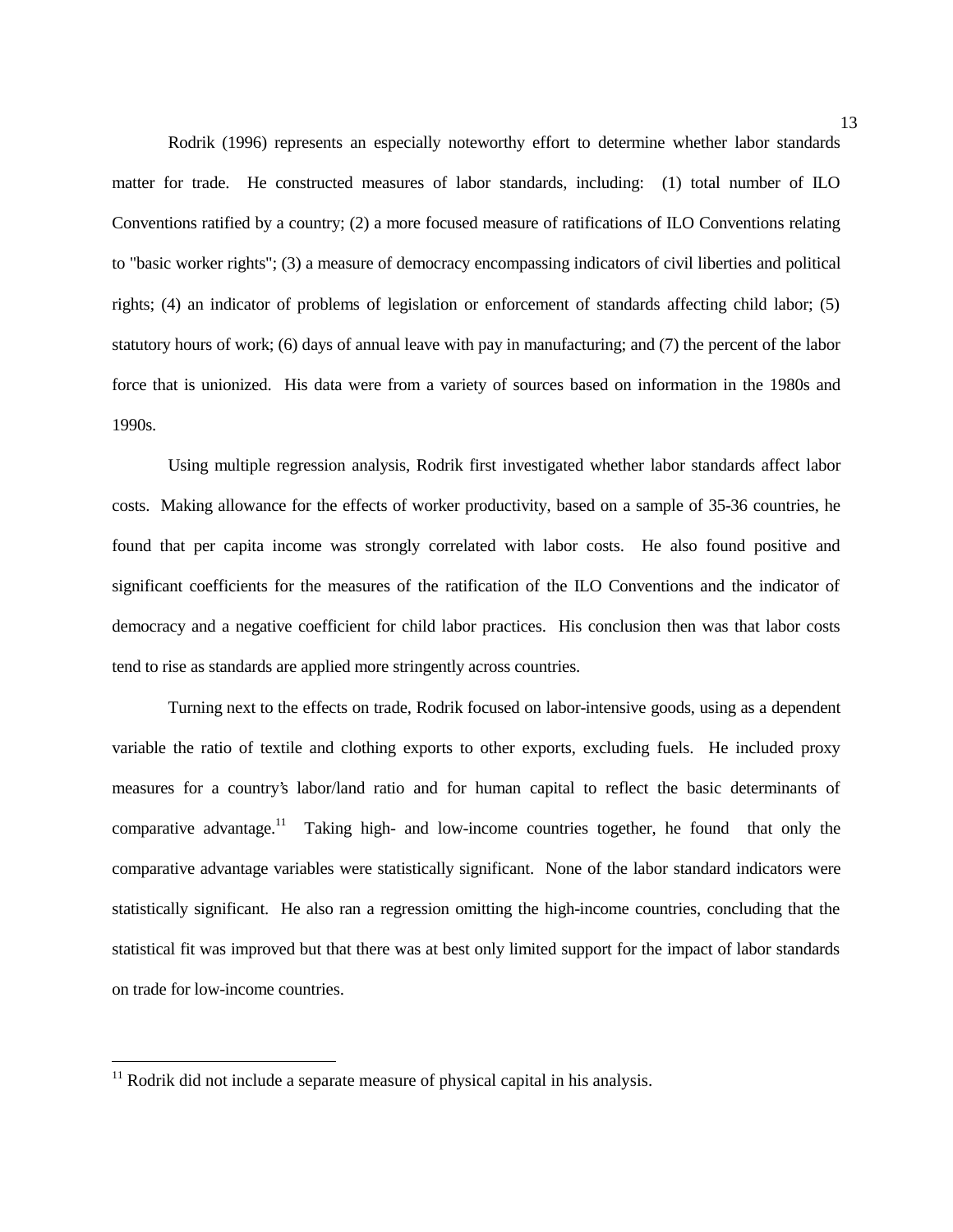Rodrik (1996) represents an especially noteworthy effort to determine whether labor standards matter for trade. He constructed measures of labor standards, including: (1) total number of ILO Conventions ratified by a country; (2) a more focused measure of ratifications of ILO Conventions relating to "basic worker rights"; (3) a measure of democracy encompassing indicators of civil liberties and political rights; (4) an indicator of problems of legislation or enforcement of standards affecting child labor; (5) statutory hours of work; (6) days of annual leave with pay in manufacturing; and (7) the percent of the labor force that is unionized. His data were from a variety of sources based on information in the 1980s and 1990s.

Using multiple regression analysis, Rodrik first investigated whether labor standards affect labor costs. Making allowance for the effects of worker productivity, based on a sample of 35-36 countries, he found that per capita income was strongly correlated with labor costs. He also found positive and significant coefficients for the measures of the ratification of the ILO Conventions and the indicator of democracy and a negative coefficient for child labor practices. His conclusion then was that labor costs tend to rise as standards are applied more stringently across countries.

Turning next to the effects on trade, Rodrik focused on labor-intensive goods, using as a dependent variable the ratio of textile and clothing exports to other exports, excluding fuels. He included proxy measures for a country's labor/land ratio and for human capital to reflect the basic determinants of comparative advantage.<sup>11</sup> Taking high- and low-income countries together, he found that only the comparative advantage variables were statistically significant. None of the labor standard indicators were statistically significant. He also ran a regression omitting the high-income countries, concluding that the statistical fit was improved but that there was at best only limited support for the impact of labor standards on trade for low-income countries.

 $11$  Rodrik did not include a separate measure of physical capital in his analysis.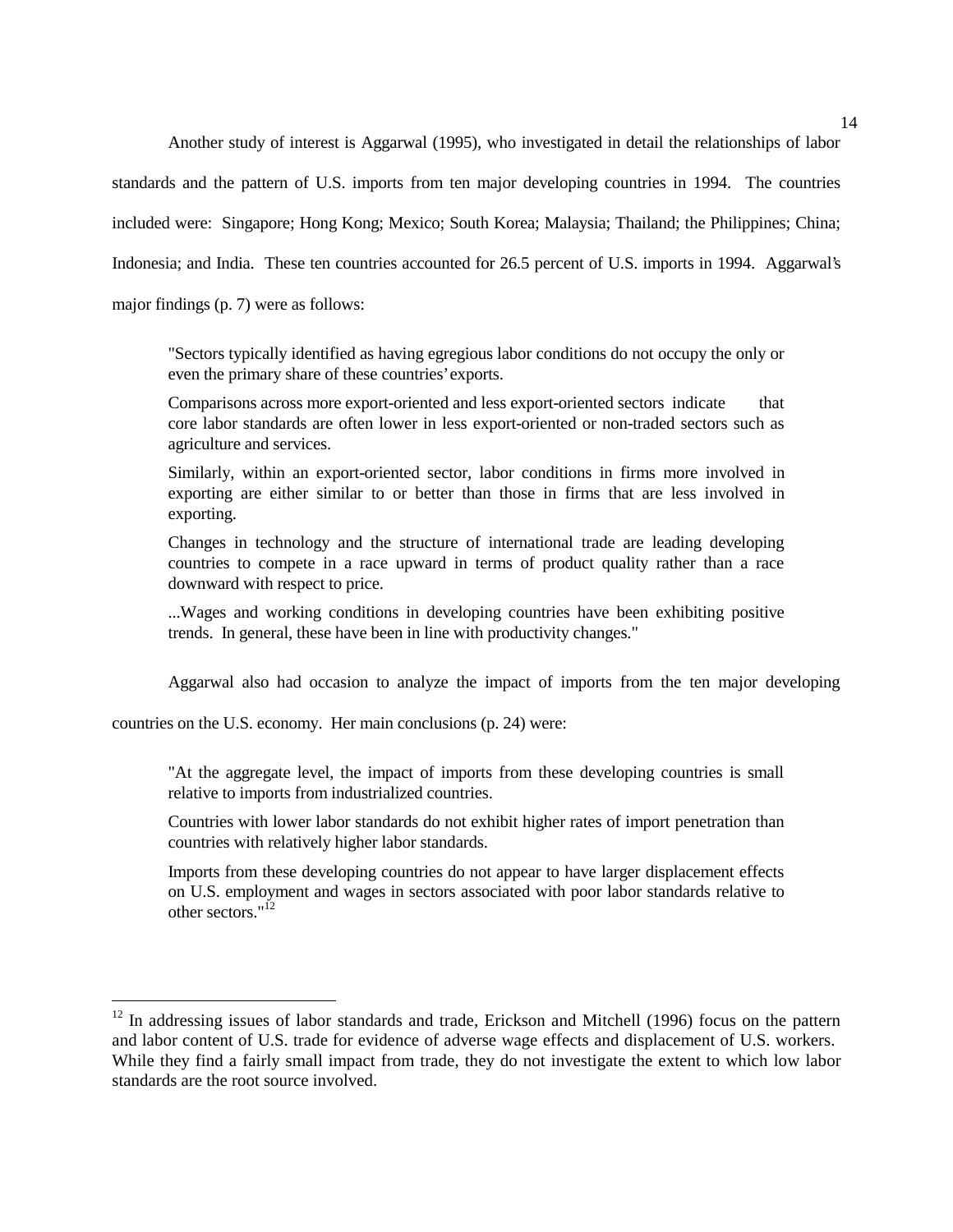Another study of interest is Aggarwal (1995), who investigated in detail the relationships of labor

standards and the pattern of U.S. imports from ten major developing countries in 1994. The countries included were: Singapore; Hong Kong; Mexico; South Korea; Malaysia; Thailand; the Philippines; China; Indonesia; and India. These ten countries accounted for 26.5 percent of U.S. imports in 1994. Aggarwal's major findings (p. 7) were as follows:

"Sectors typically identified as having egregious labor conditions do not occupy the only or even the primary share of these countries' exports.

Comparisons across more export-oriented and less export-oriented sectors indicate that core labor standards are often lower in less export-oriented or non-traded sectors such as agriculture and services.

Similarly, within an export-oriented sector, labor conditions in firms more involved in exporting are either similar to or better than those in firms that are less involved in exporting.

Changes in technology and the structure of international trade are leading developing countries to compete in a race upward in terms of product quality rather than a race downward with respect to price.

...Wages and working conditions in developing countries have been exhibiting positive trends. In general, these have been in line with productivity changes."

Aggarwal also had occasion to analyze the impact of imports from the ten major developing

countries on the U.S. economy. Her main conclusions (p. 24) were:

 $\overline{a}$ 

"At the aggregate level, the impact of imports from these developing countries is small relative to imports from industrialized countries.

Countries with lower labor standards do not exhibit higher rates of import penetration than countries with relatively higher labor standards.

Imports from these developing countries do not appear to have larger displacement effects on U.S. employment and wages in sectors associated with poor labor standards relative to other sectors."<sup>12</sup>

<sup>&</sup>lt;sup>12</sup> In addressing issues of labor standards and trade, Erickson and Mitchell (1996) focus on the pattern and labor content of U.S. trade for evidence of adverse wage effects and displacement of U.S. workers. While they find a fairly small impact from trade, they do not investigate the extent to which low labor standards are the root source involved.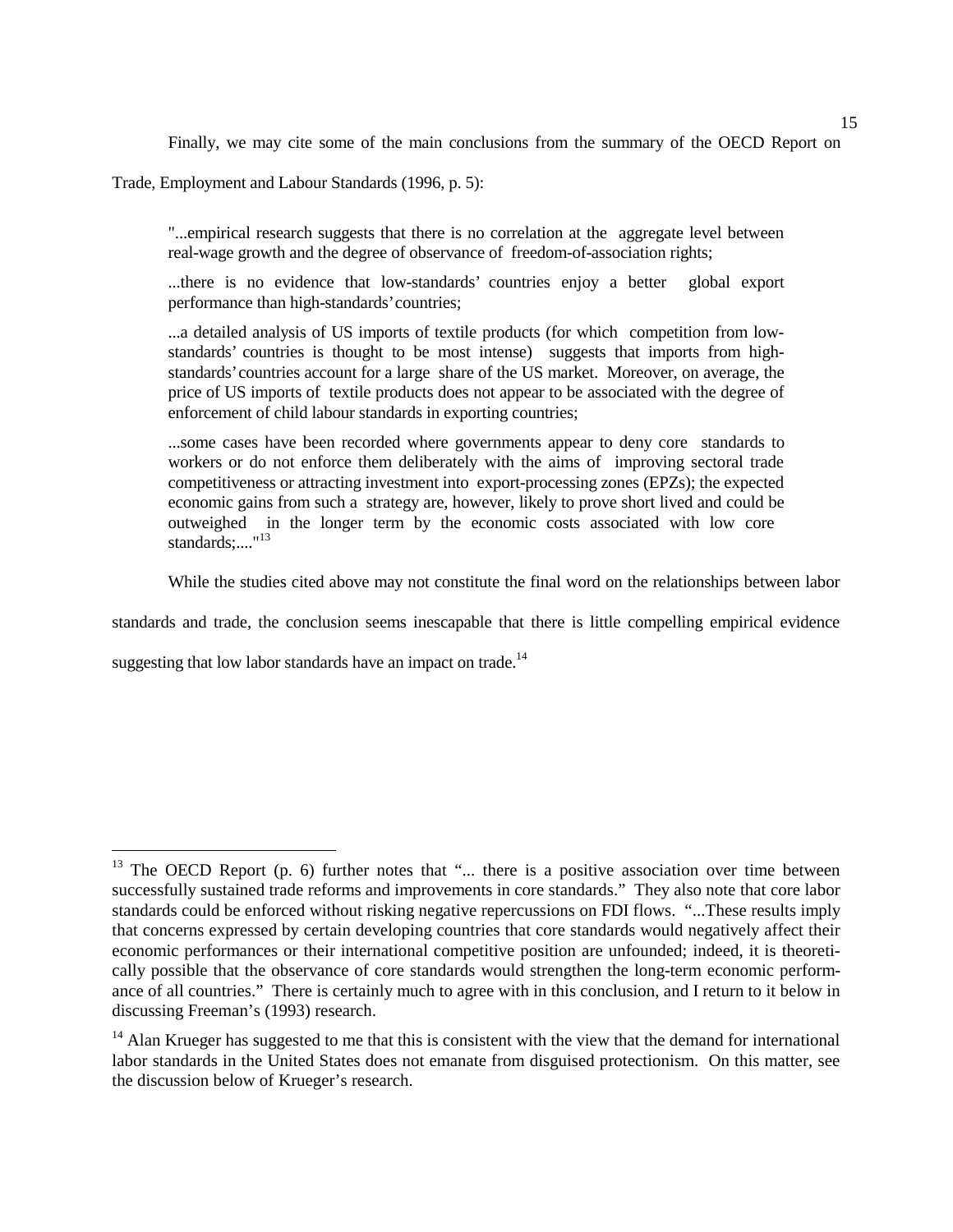Finally, we may cite some of the main conclusions from the summary of the OECD Report on

Trade, Employment and Labour Standards (1996, p. 5):

"...empirical research suggests that there is no correlation at the aggregate level between real-wage growth and the degree of observance of freedom-of-association rights;

...there is no evidence that low-standards' countries enjoy a better global export performance than high-standards' countries;

...a detailed analysis of US imports of textile products (for which competition from lowstandards' countries is thought to be most intense) suggests that imports from highstandards' countries account for a large share of the US market. Moreover, on average, the price of US imports of textile products does not appear to be associated with the degree of enforcement of child labour standards in exporting countries;

...some cases have been recorded where governments appear to deny core standards to workers or do not enforce them deliberately with the aims of improving sectoral trade competitiveness or attracting investment into export-processing zones (EPZs); the expected economic gains from such a strategy are, however, likely to prove short lived and could be outweighed in the longer term by the economic costs associated with low core standards: $\ldots$ "<sup>13</sup>

While the studies cited above may not constitute the final word on the relationships between labor

standards and trade, the conclusion seems inescapable that there is little compelling empirical evidence

suggesting that low labor standards have an impact on trade. $14$ 

 $13$  The OECD Report (p. 6) further notes that "... there is a positive association over time between successfully sustained trade reforms and improvements in core standards." They also note that core labor standards could be enforced without risking negative repercussions on FDI flows. "...These results imply that concerns expressed by certain developing countries that core standards would negatively affect their economic performances or their international competitive position are unfounded; indeed, it is theoretically possible that the observance of core standards would strengthen the long-term economic performance of all countries." There is certainly much to agree with in this conclusion, and I return to it below in discussing Freeman's (1993) research.

 $14$  Alan Krueger has suggested to me that this is consistent with the view that the demand for international labor standards in the United States does not emanate from disguised protectionism. On this matter, see the discussion below of Krueger's research.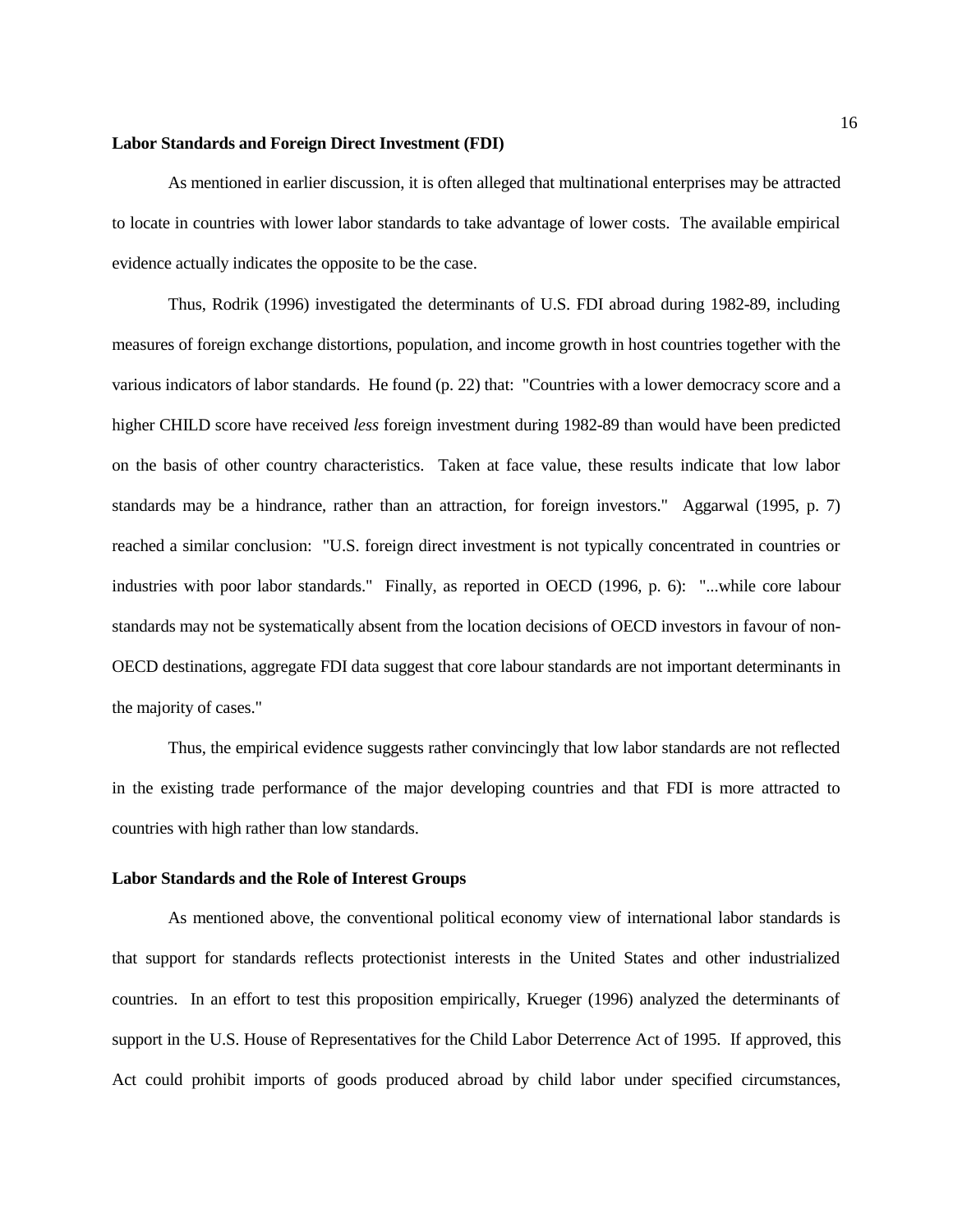#### **Labor Standards and Foreign Direct Investment (FDI)**

As mentioned in earlier discussion, it is often alleged that multinational enterprises may be attracted to locate in countries with lower labor standards to take advantage of lower costs. The available empirical evidence actually indicates the opposite to be the case.

Thus, Rodrik (1996) investigated the determinants of U.S. FDI abroad during 1982-89, including measures of foreign exchange distortions, population, and income growth in host countries together with the various indicators of labor standards. He found (p. 22) that: "Countries with a lower democracy score and a higher CHILD score have received *less* foreign investment during 1982-89 than would have been predicted on the basis of other country characteristics. Taken at face value, these results indicate that low labor standards may be a hindrance, rather than an attraction, for foreign investors." Aggarwal (1995, p. 7) reached a similar conclusion: "U.S. foreign direct investment is not typically concentrated in countries or industries with poor labor standards." Finally, as reported in OECD (1996, p. 6): "...while core labour standards may not be systematically absent from the location decisions of OECD investors in favour of non-OECD destinations, aggregate FDI data suggest that core labour standards are not important determinants in the majority of cases."

Thus, the empirical evidence suggests rather convincingly that low labor standards are not reflected in the existing trade performance of the major developing countries and that FDI is more attracted to countries with high rather than low standards.

#### **Labor Standards and the Role of Interest Groups**

As mentioned above, the conventional political economy view of international labor standards is that support for standards reflects protectionist interests in the United States and other industrialized countries. In an effort to test this proposition empirically, Krueger (1996) analyzed the determinants of support in the U.S. House of Representatives for the Child Labor Deterrence Act of 1995. If approved, this Act could prohibit imports of goods produced abroad by child labor under specified circumstances,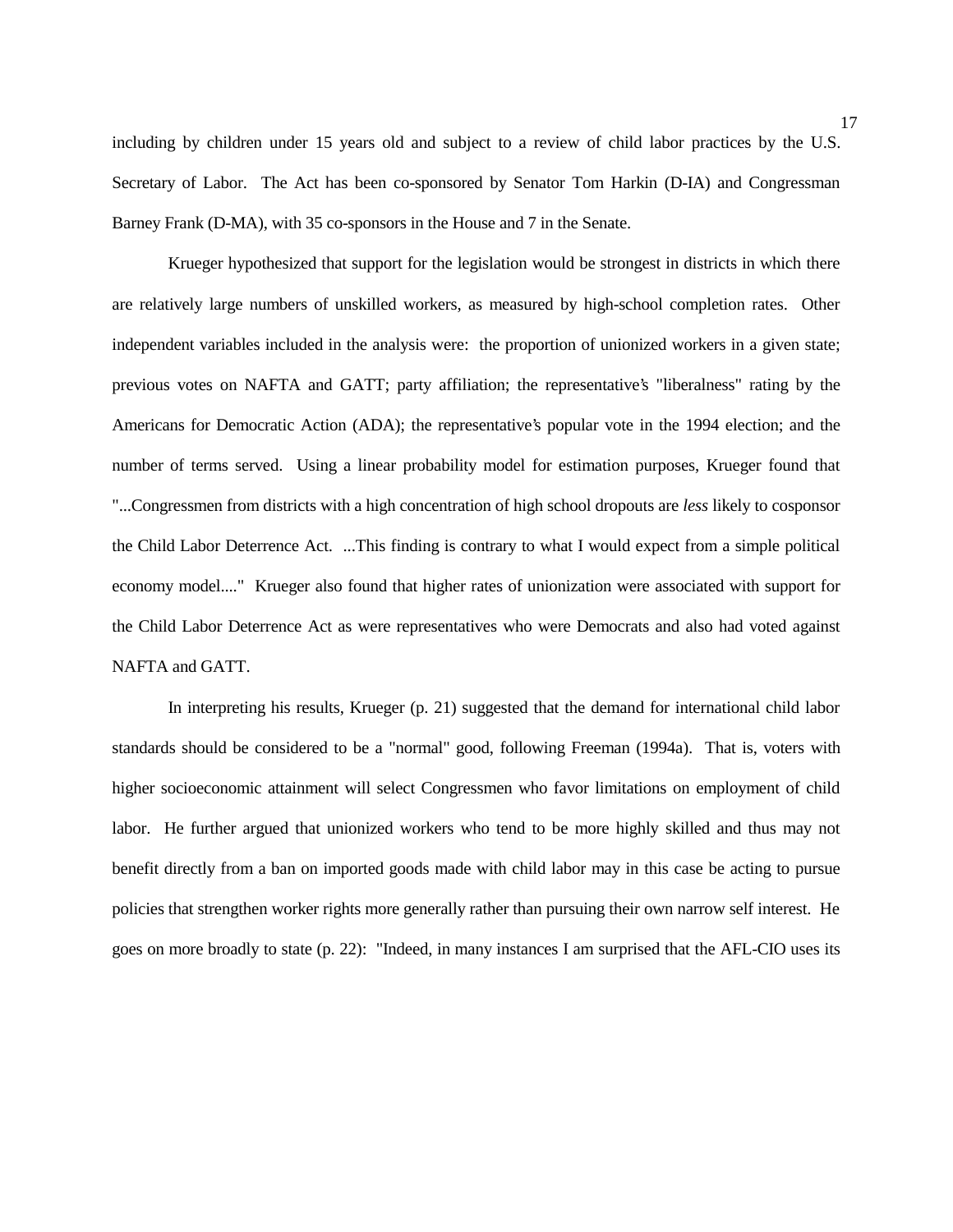including by children under 15 years old and subject to a review of child labor practices by the U.S. Secretary of Labor. The Act has been co-sponsored by Senator Tom Harkin (D-IA) and Congressman Barney Frank (D-MA), with 35 co-sponsors in the House and 7 in the Senate.

Krueger hypothesized that support for the legislation would be strongest in districts in which there are relatively large numbers of unskilled workers, as measured by high-school completion rates. Other independent variables included in the analysis were: the proportion of unionized workers in a given state; previous votes on NAFTA and GATT; party affiliation; the representative's "liberalness" rating by the Americans for Democratic Action (ADA); the representative's popular vote in the 1994 election; and the number of terms served. Using a linear probability model for estimation purposes, Krueger found that "...Congressmen from districts with a high concentration of high school dropouts are *less* likely to cosponsor the Child Labor Deterrence Act. ...This finding is contrary to what I would expect from a simple political economy model...." Krueger also found that higher rates of unionization were associated with support for the Child Labor Deterrence Act as were representatives who were Democrats and also had voted against NAFTA and GATT.

In interpreting his results, Krueger (p. 21) suggested that the demand for international child labor standards should be considered to be a "normal" good, following Freeman (1994a). That is, voters with higher socioeconomic attainment will select Congressmen who favor limitations on employment of child labor. He further argued that unionized workers who tend to be more highly skilled and thus may not benefit directly from a ban on imported goods made with child labor may in this case be acting to pursue policies that strengthen worker rights more generally rather than pursuing their own narrow self interest. He goes on more broadly to state (p. 22): "Indeed, in many instances I am surprised that the AFL-CIO uses its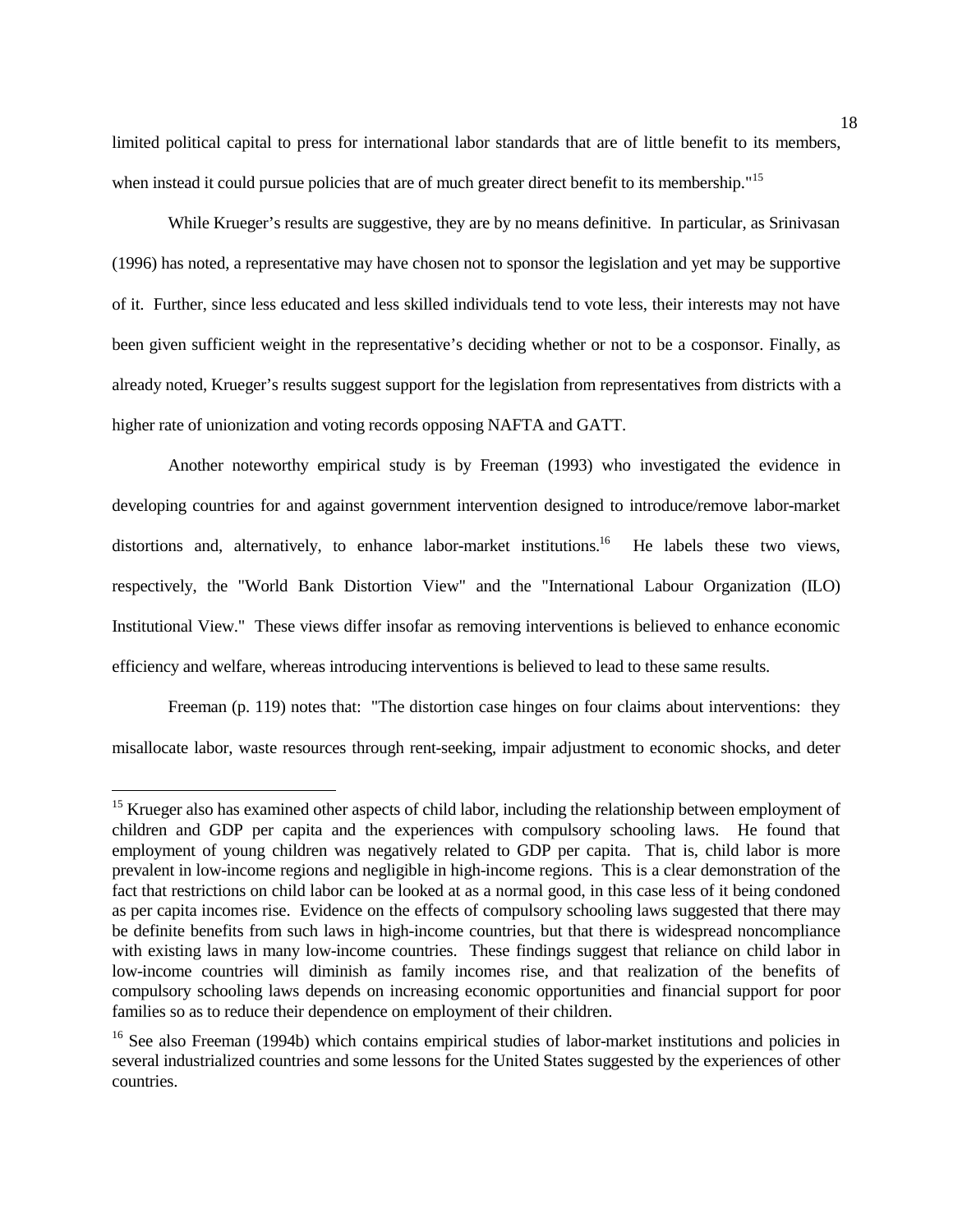limited political capital to press for international labor standards that are of little benefit to its members, when instead it could pursue policies that are of much greater direct benefit to its membership."<sup>15</sup>

While Krueger's results are suggestive, they are by no means definitive. In particular, as Srinivasan (1996) has noted, a representative may have chosen not to sponsor the legislation and yet may be supportive of it. Further, since less educated and less skilled individuals tend to vote less, their interests may not have been given sufficient weight in the representative's deciding whether or not to be a cosponsor. Finally, as already noted, Krueger's results suggest support for the legislation from representatives from districts with a higher rate of unionization and voting records opposing NAFTA and GATT.

Another noteworthy empirical study is by Freeman (1993) who investigated the evidence in developing countries for and against government intervention designed to introduce/remove labor-market distortions and, alternatively, to enhance labor-market institutions.<sup>16</sup> He labels these two views, respectively, the "World Bank Distortion View" and the "International Labour Organization (ILO) Institutional View." These views differ insofar as removing interventions is believed to enhance economic efficiency and welfare, whereas introducing interventions is believed to lead to these same results.

Freeman (p. 119) notes that: "The distortion case hinges on four claims about interventions: they misallocate labor, waste resources through rent-seeking, impair adjustment to economic shocks, and deter

<sup>&</sup>lt;sup>15</sup> Krueger also has examined other aspects of child labor, including the relationship between employment of children and GDP per capita and the experiences with compulsory schooling laws. He found that employment of young children was negatively related to GDP per capita. That is, child labor is more prevalent in low-income regions and negligible in high-income regions. This is a clear demonstration of the fact that restrictions on child labor can be looked at as a normal good, in this case less of it being condoned as per capita incomes rise. Evidence on the effects of compulsory schooling laws suggested that there may be definite benefits from such laws in high-income countries, but that there is widespread noncompliance with existing laws in many low-income countries. These findings suggest that reliance on child labor in low-income countries will diminish as family incomes rise, and that realization of the benefits of compulsory schooling laws depends on increasing economic opportunities and financial support for poor families so as to reduce their dependence on employment of their children.

<sup>&</sup>lt;sup>16</sup> See also Freeman (1994b) which contains empirical studies of labor-market institutions and policies in several industrialized countries and some lessons for the United States suggested by the experiences of other countries.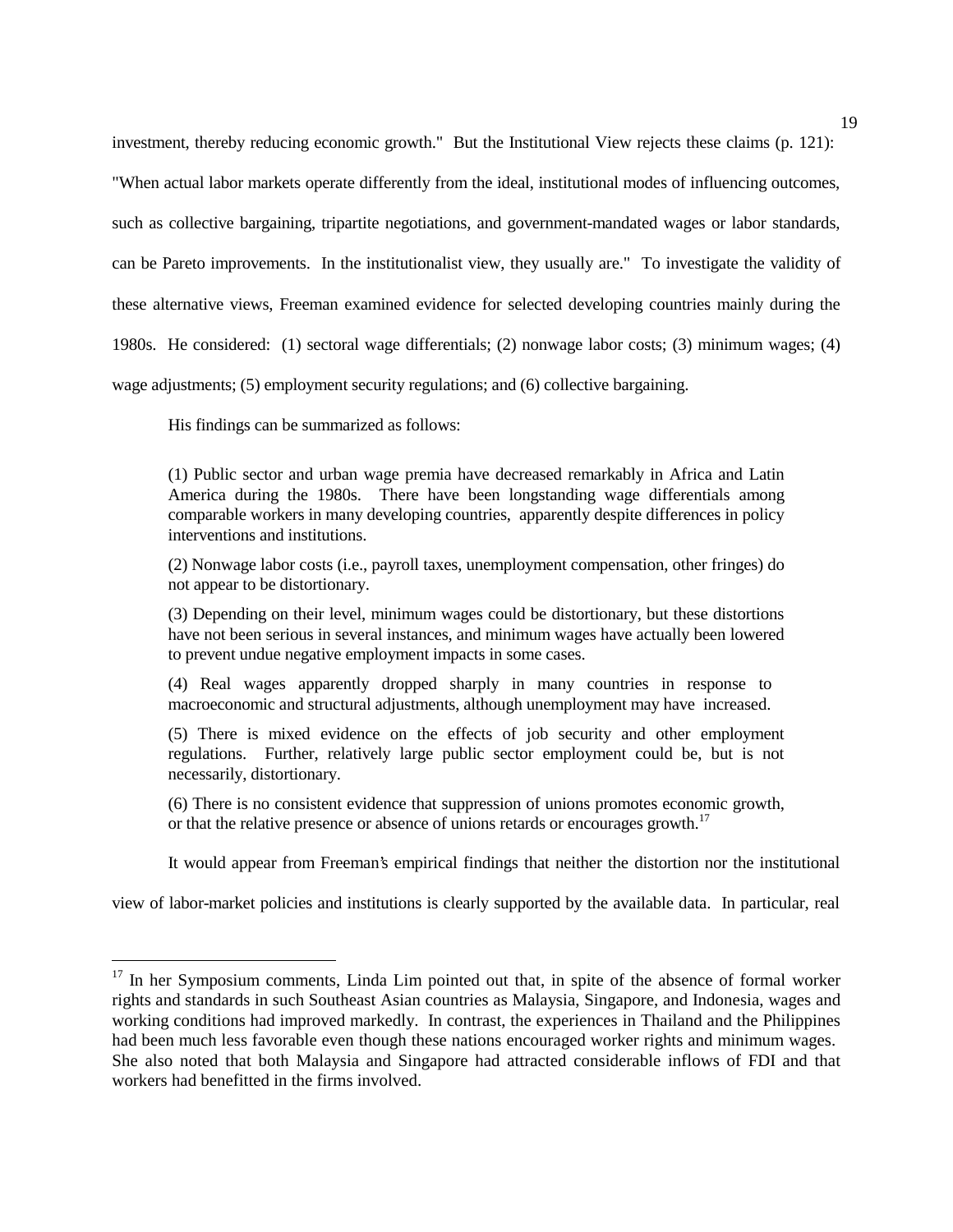investment, thereby reducing economic growth." But the Institutional View rejects these claims (p. 121):

"When actual labor markets operate differently from the ideal, institutional modes of influencing outcomes,

such as collective bargaining, tripartite negotiations, and government-mandated wages or labor standards,

can be Pareto improvements. In the institutionalist view, they usually are." To investigate the validity of

these alternative views, Freeman examined evidence for selected developing countries mainly during the

1980s. He considered: (1) sectoral wage differentials; (2) nonwage labor costs; (3) minimum wages; (4)

wage adjustments; (5) employment security regulations; and (6) collective bargaining.

His findings can be summarized as follows:

 $\overline{a}$ 

(1) Public sector and urban wage premia have decreased remarkably in Africa and Latin America during the 1980s. There have been longstanding wage differentials among comparable workers in many developing countries, apparently despite differences in policy interventions and institutions.

(2) Nonwage labor costs (i.e., payroll taxes, unemployment compensation, other fringes) do not appear to be distortionary.

(3) Depending on their level, minimum wages could be distortionary, but these distortions have not been serious in several instances, and minimum wages have actually been lowered to prevent undue negative employment impacts in some cases.

(4) Real wages apparently dropped sharply in many countries in response to macroeconomic and structural adjustments, although unemployment may have increased.

(5) There is mixed evidence on the effects of job security and other employment regulations. Further, relatively large public sector employment could be, but is not necessarily, distortionary.

(6) There is no consistent evidence that suppression of unions promotes economic growth, or that the relative presence or absence of unions retards or encourages growth.<sup>17</sup>

It would appear from Freeman's empirical findings that neither the distortion nor the institutional

view of labor-market policies and institutions is clearly supported by the available data. In particular, real

<sup>&</sup>lt;sup>17</sup> In her Symposium comments, Linda Lim pointed out that, in spite of the absence of formal worker rights and standards in such Southeast Asian countries as Malaysia, Singapore, and Indonesia, wages and working conditions had improved markedly. In contrast, the experiences in Thailand and the Philippines had been much less favorable even though these nations encouraged worker rights and minimum wages. She also noted that both Malaysia and Singapore had attracted considerable inflows of FDI and that workers had benefitted in the firms involved.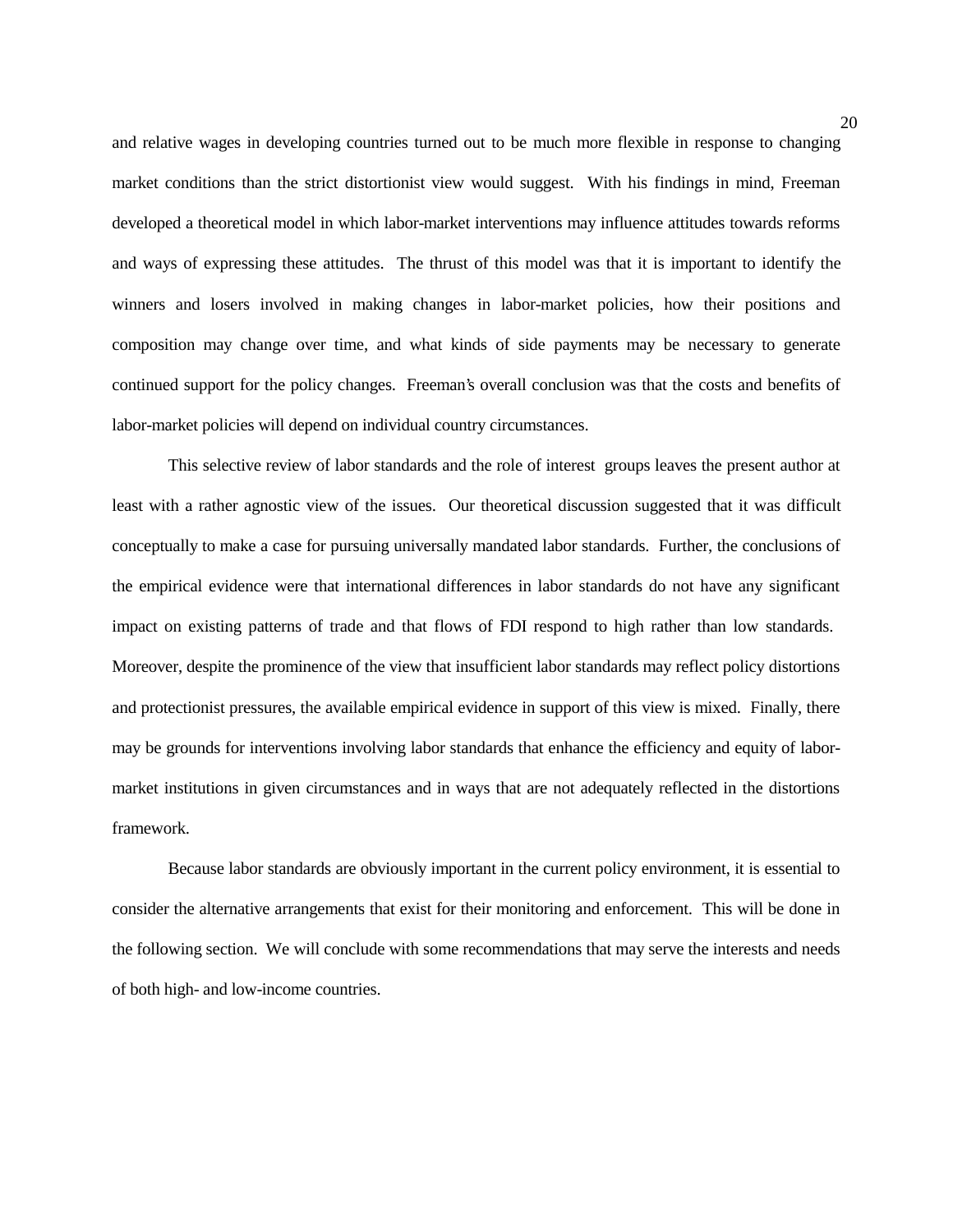and relative wages in developing countries turned out to be much more flexible in response to changing market conditions than the strict distortionist view would suggest. With his findings in mind, Freeman developed a theoretical model in which labor-market interventions may influence attitudes towards reforms and ways of expressing these attitudes. The thrust of this model was that it is important to identify the winners and losers involved in making changes in labor-market policies, how their positions and composition may change over time, and what kinds of side payments may be necessary to generate continued support for the policy changes. Freeman's overall conclusion was that the costs and benefits of labor-market policies will depend on individual country circumstances.

This selective review of labor standards and the role of interest groups leaves the present author at least with a rather agnostic view of the issues. Our theoretical discussion suggested that it was difficult conceptually to make a case for pursuing universally mandated labor standards. Further, the conclusions of the empirical evidence were that international differences in labor standards do not have any significant impact on existing patterns of trade and that flows of FDI respond to high rather than low standards. Moreover, despite the prominence of the view that insufficient labor standards may reflect policy distortions and protectionist pressures, the available empirical evidence in support of this view is mixed. Finally, there may be grounds for interventions involving labor standards that enhance the efficiency and equity of labormarket institutions in given circumstances and in ways that are not adequately reflected in the distortions framework.

Because labor standards are obviously important in the current policy environment, it is essential to consider the alternative arrangements that exist for their monitoring and enforcement. This will be done in the following section. We will conclude with some recommendations that may serve the interests and needs of both high- and low-income countries.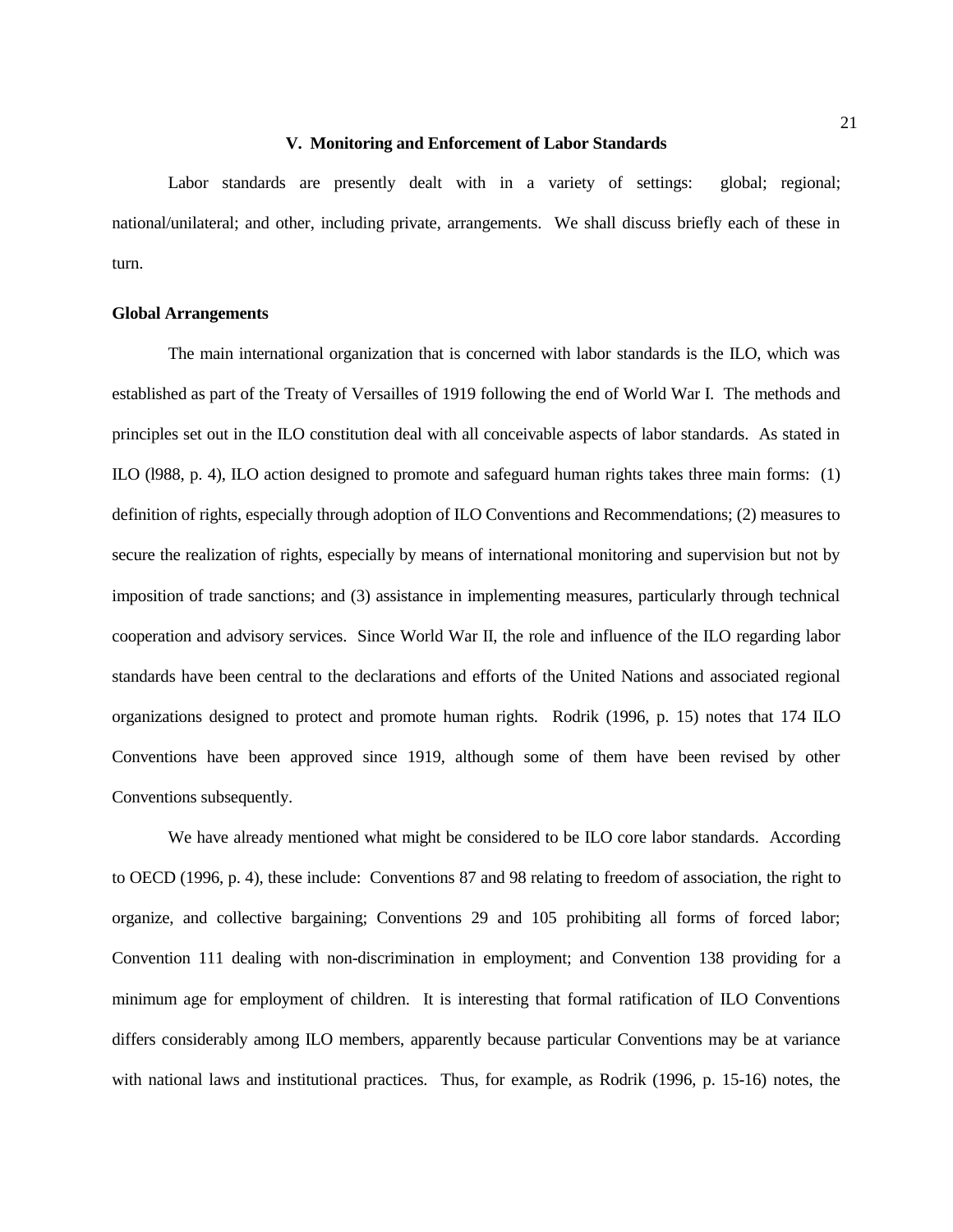#### **V. Monitoring and Enforcement of Labor Standards**

Labor standards are presently dealt with in a variety of settings: global; regional; national/unilateral; and other, including private, arrangements. We shall discuss briefly each of these in turn.

#### **Global Arrangements**

The main international organization that is concerned with labor standards is the ILO, which was established as part of the Treaty of Versailles of 1919 following the end of World War I. The methods and principles set out in the ILO constitution deal with all conceivable aspects of labor standards. As stated in ILO (l988, p. 4), ILO action designed to promote and safeguard human rights takes three main forms: (1) definition of rights, especially through adoption of ILO Conventions and Recommendations; (2) measures to secure the realization of rights, especially by means of international monitoring and supervision but not by imposition of trade sanctions; and (3) assistance in implementing measures, particularly through technical cooperation and advisory services. Since World War II, the role and influence of the ILO regarding labor standards have been central to the declarations and efforts of the United Nations and associated regional organizations designed to protect and promote human rights. Rodrik (1996, p. 15) notes that 174 ILO Conventions have been approved since 1919, although some of them have been revised by other Conventions subsequently.

We have already mentioned what might be considered to be ILO core labor standards. According to OECD (1996, p. 4), these include: Conventions 87 and 98 relating to freedom of association, the right to organize, and collective bargaining; Conventions 29 and 105 prohibiting all forms of forced labor; Convention 111 dealing with non-discrimination in employment; and Convention 138 providing for a minimum age for employment of children. It is interesting that formal ratification of ILO Conventions differs considerably among ILO members, apparently because particular Conventions may be at variance with national laws and institutional practices. Thus, for example, as Rodrik (1996, p. 15-16) notes, the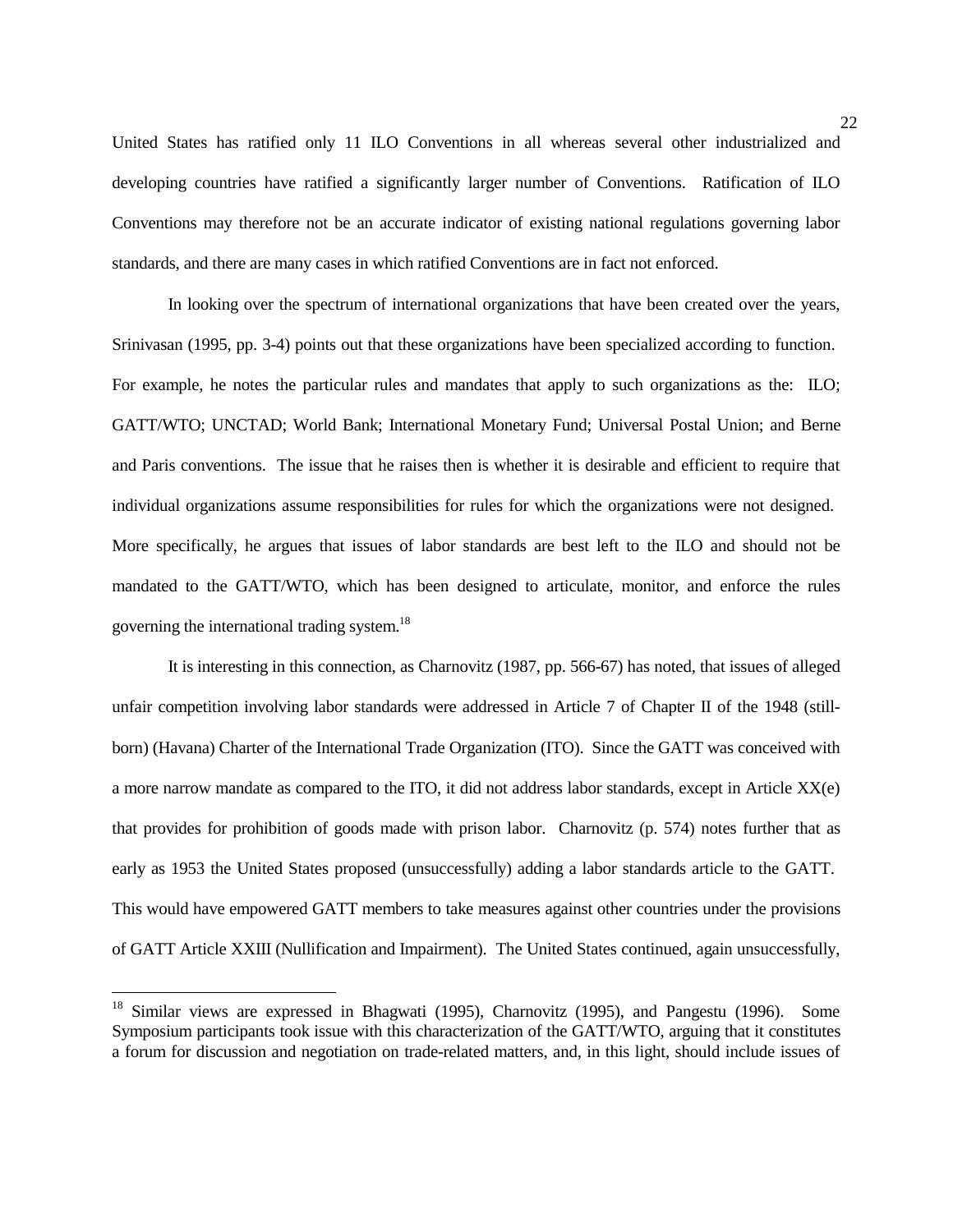United States has ratified only 11 ILO Conventions in all whereas several other industrialized and developing countries have ratified a significantly larger number of Conventions. Ratification of ILO Conventions may therefore not be an accurate indicator of existing national regulations governing labor standards, and there are many cases in which ratified Conventions are in fact not enforced.

In looking over the spectrum of international organizations that have been created over the years, Srinivasan (1995, pp. 3-4) points out that these organizations have been specialized according to function. For example, he notes the particular rules and mandates that apply to such organizations as the: ILO; GATT/WTO; UNCTAD; World Bank; International Monetary Fund; Universal Postal Union; and Berne and Paris conventions. The issue that he raises then is whether it is desirable and efficient to require that individual organizations assume responsibilities for rules for which the organizations were not designed. More specifically, he argues that issues of labor standards are best left to the ILO and should not be mandated to the GATT/WTO, which has been designed to articulate, monitor, and enforce the rules governing the international trading system.<sup>18</sup>

It is interesting in this connection, as Charnovitz (1987, pp. 566-67) has noted, that issues of alleged unfair competition involving labor standards were addressed in Article 7 of Chapter II of the 1948 (stillborn) (Havana) Charter of the International Trade Organization (ITO). Since the GATT was conceived with a more narrow mandate as compared to the ITO, it did not address labor standards, except in Article XX(e) that provides for prohibition of goods made with prison labor. Charnovitz (p. 574) notes further that as early as 1953 the United States proposed (unsuccessfully) adding a labor standards article to the GATT. This would have empowered GATT members to take measures against other countries under the provisions of GATT Article XXIII (Nullification and Impairment). The United States continued, again unsuccessfully,

<sup>&</sup>lt;sup>18</sup> Similar views are expressed in Bhagwati (1995), Charnovitz (1995), and Pangestu (1996). Some Symposium participants took issue with this characterization of the GATT/WTO, arguing that it constitutes a forum for discussion and negotiation on trade-related matters, and, in this light, should include issues of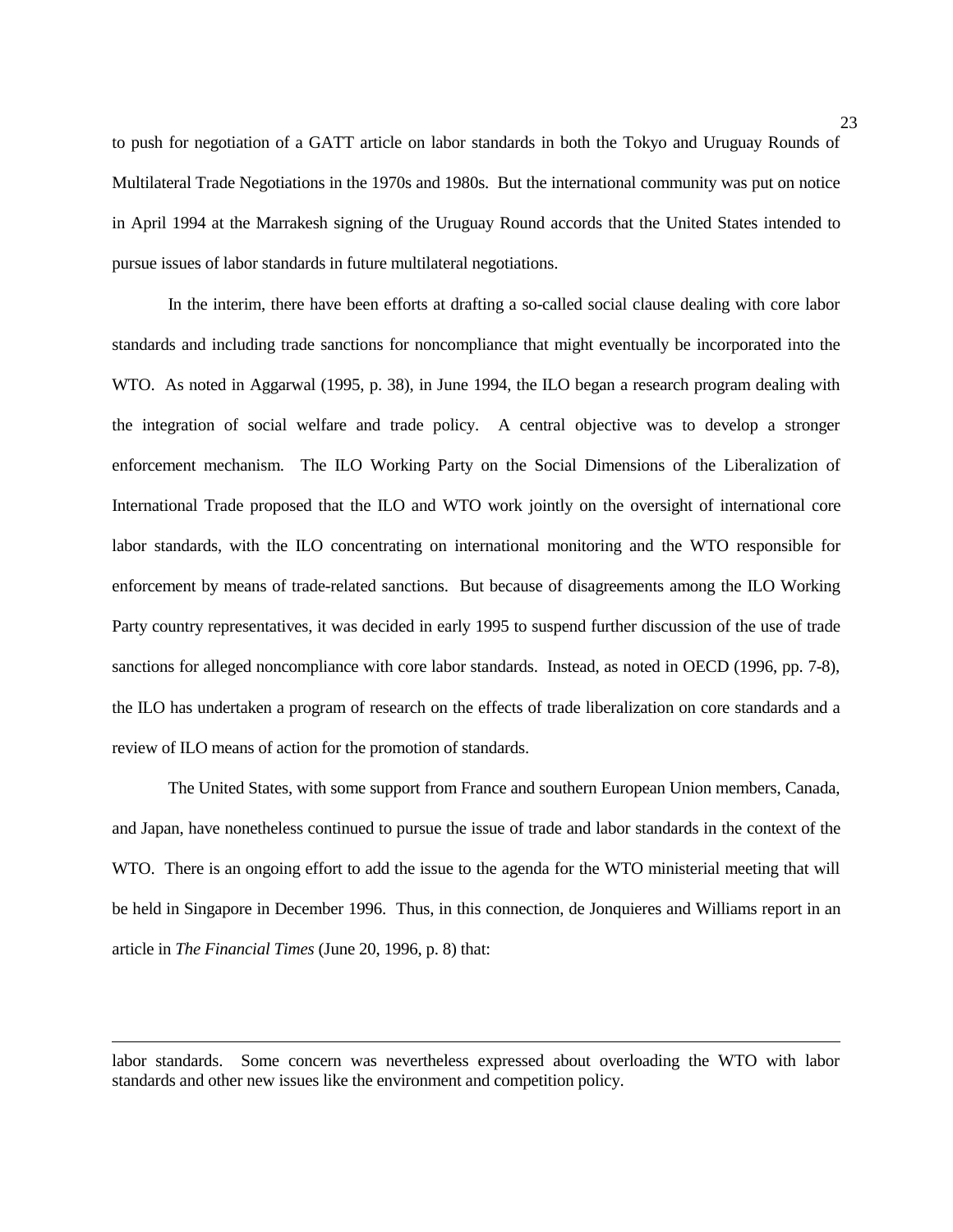to push for negotiation of a GATT article on labor standards in both the Tokyo and Uruguay Rounds of Multilateral Trade Negotiations in the 1970s and 1980s. But the international community was put on notice in April 1994 at the Marrakesh signing of the Uruguay Round accords that the United States intended to pursue issues of labor standards in future multilateral negotiations.

In the interim, there have been efforts at drafting a so-called social clause dealing with core labor standards and including trade sanctions for noncompliance that might eventually be incorporated into the WTO. As noted in Aggarwal (1995, p. 38), in June 1994, the ILO began a research program dealing with the integration of social welfare and trade policy. A central objective was to develop a stronger enforcement mechanism. The ILO Working Party on the Social Dimensions of the Liberalization of International Trade proposed that the ILO and WTO work jointly on the oversight of international core labor standards, with the ILO concentrating on international monitoring and the WTO responsible for enforcement by means of trade-related sanctions. But because of disagreements among the ILO Working Party country representatives, it was decided in early 1995 to suspend further discussion of the use of trade sanctions for alleged noncompliance with core labor standards. Instead, as noted in OECD (1996, pp. 7-8), the ILO has undertaken a program of research on the effects of trade liberalization on core standards and a review of ILO means of action for the promotion of standards.

The United States, with some support from France and southern European Union members, Canada, and Japan, have nonetheless continued to pursue the issue of trade and labor standards in the context of the WTO. There is an ongoing effort to add the issue to the agenda for the WTO ministerial meeting that will be held in Singapore in December 1996. Thus, in this connection, de Jonquieres and Williams report in an article in *The Financial Times* (June 20, 1996, p. 8) that:

labor standards. Some concern was nevertheless expressed about overloading the WTO with labor standards and other new issues like the environment and competition policy.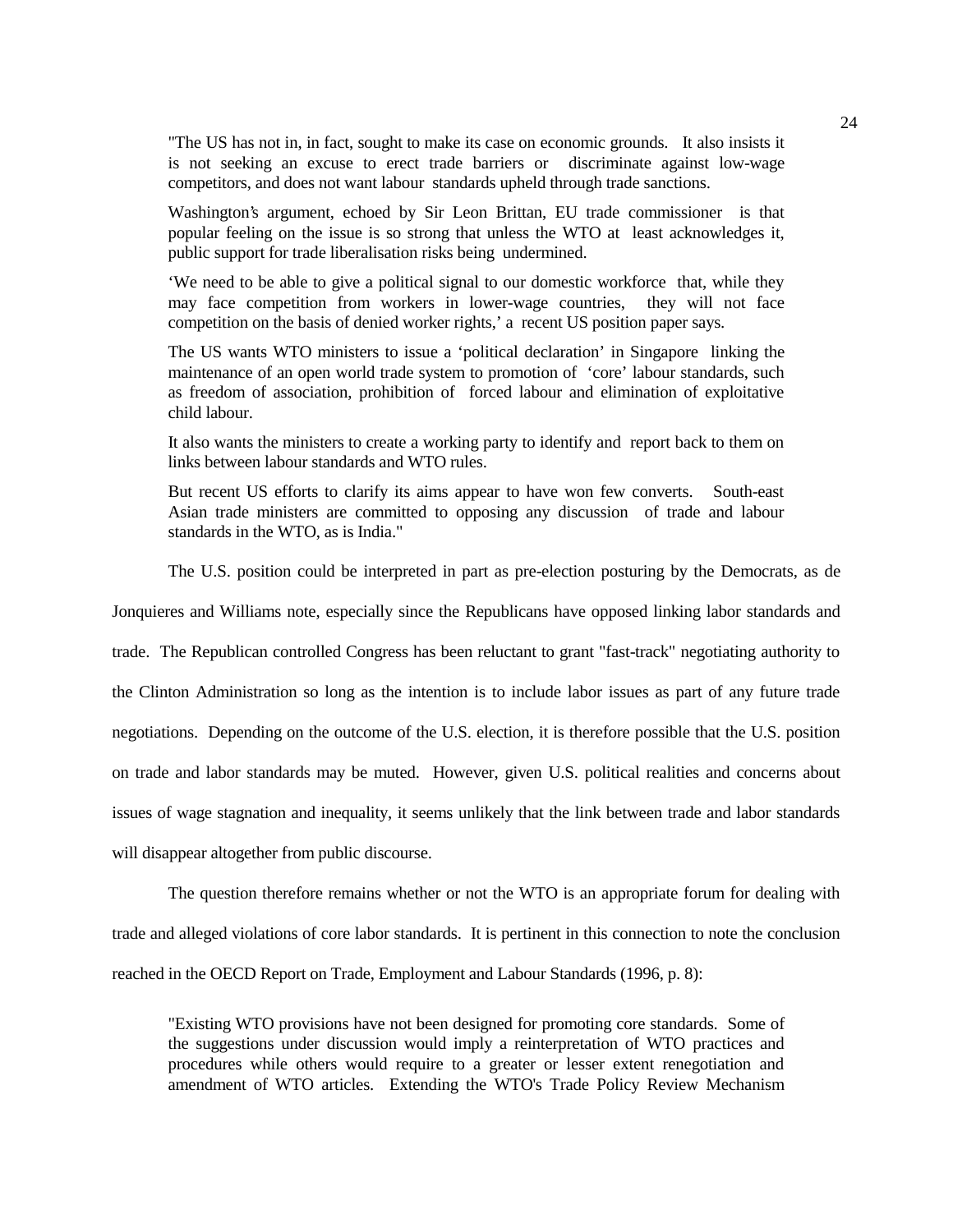"The US has not in, in fact, sought to make its case on economic grounds. It also insists it is not seeking an excuse to erect trade barriers or discriminate against low-wage competitors, and does not want labour standards upheld through trade sanctions.

Washington's argument, echoed by Sir Leon Brittan, EU trade commissioner is that popular feeling on the issue is so strong that unless the WTO at least acknowledges it, public support for trade liberalisation risks being undermined.

'We need to be able to give a political signal to our domestic workforce that, while they may face competition from workers in lower-wage countries, they will not face competition on the basis of denied worker rights,' a recent US position paper says.

The US wants WTO ministers to issue a 'political declaration' in Singapore linking the maintenance of an open world trade system to promotion of 'core' labour standards, such as freedom of association, prohibition of forced labour and elimination of exploitative child labour.

It also wants the ministers to create a working party to identify and report back to them on links between labour standards and WTO rules.

But recent US efforts to clarify its aims appear to have won few converts. South-east Asian trade ministers are committed to opposing any discussion of trade and labour standards in the WTO, as is India."

The U.S. position could be interpreted in part as pre-election posturing by the Democrats, as de

Jonquieres and Williams note, especially since the Republicans have opposed linking labor standards and trade. The Republican controlled Congress has been reluctant to grant "fast-track" negotiating authority to the Clinton Administration so long as the intention is to include labor issues as part of any future trade negotiations. Depending on the outcome of the U.S. election, it is therefore possible that the U.S. position on trade and labor standards may be muted. However, given U.S. political realities and concerns about issues of wage stagnation and inequality, it seems unlikely that the link between trade and labor standards

will disappear altogether from public discourse.

The question therefore remains whether or not the WTO is an appropriate forum for dealing with trade and alleged violations of core labor standards. It is pertinent in this connection to note the conclusion reached in the OECD Report on Trade, Employment and Labour Standards (1996, p. 8):

"Existing WTO provisions have not been designed for promoting core standards. Some of the suggestions under discussion would imply a reinterpretation of WTO practices and procedures while others would require to a greater or lesser extent renegotiation and amendment of WTO articles. Extending the WTO's Trade Policy Review Mechanism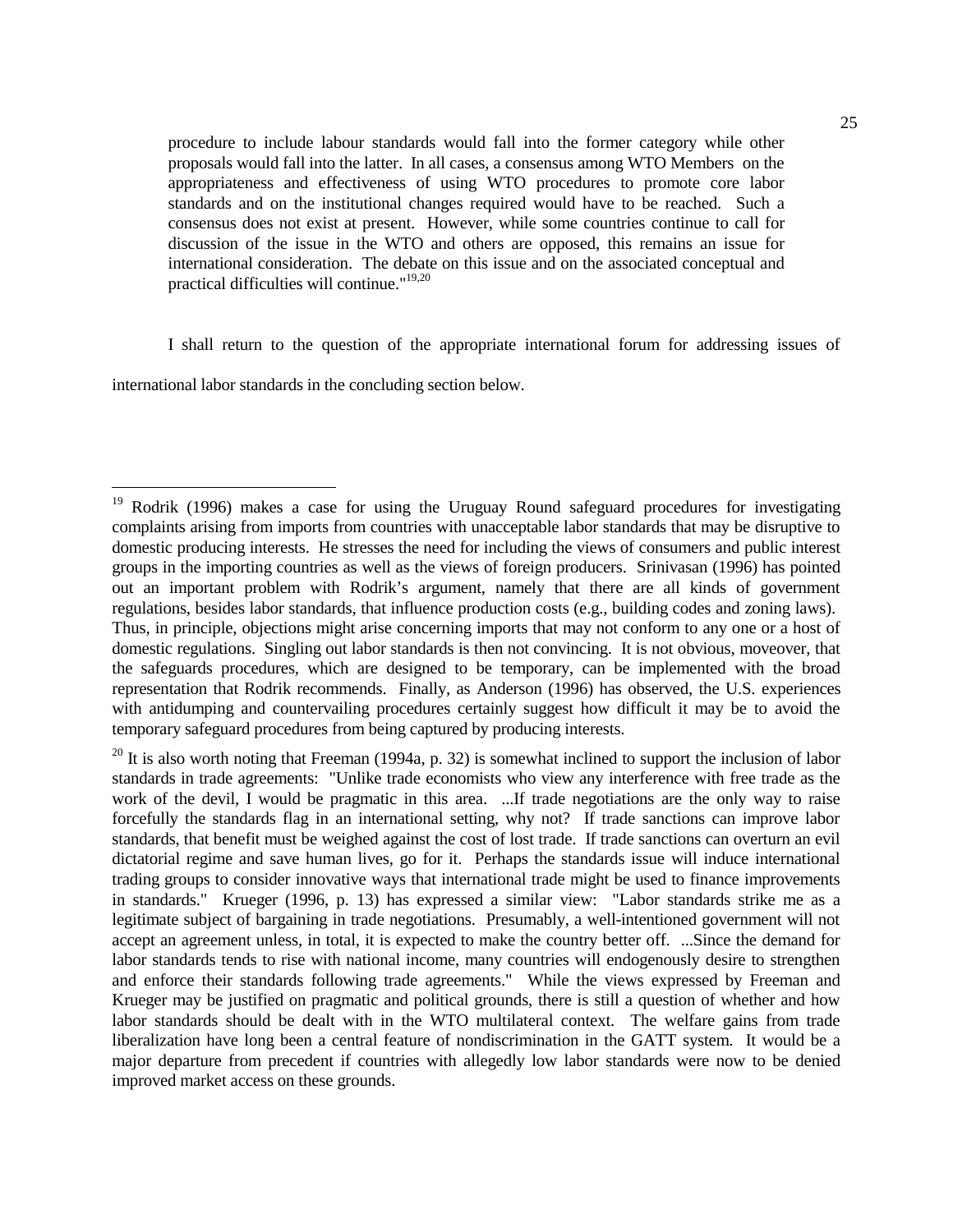procedure to include labour standards would fall into the former category while other proposals would fall into the latter. In all cases, a consensus among WTO Members on the appropriateness and effectiveness of using WTO procedures to promote core labor standards and on the institutional changes required would have to be reached. Such a consensus does not exist at present. However, while some countries continue to call for discussion of the issue in the WTO and others are opposed, this remains an issue for international consideration. The debate on this issue and on the associated conceptual and practical difficulties will continue."19,20

I shall return to the question of the appropriate international forum for addressing issues of

international labor standards in the concluding section below.

<sup>&</sup>lt;sup>19</sup> Rodrik (1996) makes a case for using the Uruguay Round safeguard procedures for investigating complaints arising from imports from countries with unacceptable labor standards that may be disruptive to domestic producing interests. He stresses the need for including the views of consumers and public interest groups in the importing countries as well as the views of foreign producers. Srinivasan (1996) has pointed out an important problem with Rodrik's argument, namely that there are all kinds of government regulations, besides labor standards, that influence production costs (e.g., building codes and zoning laws). Thus, in principle, objections might arise concerning imports that may not conform to any one or a host of domestic regulations. Singling out labor standards is then not convincing. It is not obvious, moveover, that the safeguards procedures, which are designed to be temporary, can be implemented with the broad representation that Rodrik recommends. Finally, as Anderson (1996) has observed, the U.S. experiences with antidumping and countervailing procedures certainly suggest how difficult it may be to avoid the temporary safeguard procedures from being captured by producing interests.

 $20$  It is also worth noting that Freeman (1994a, p. 32) is somewhat inclined to support the inclusion of labor standards in trade agreements: "Unlike trade economists who view any interference with free trade as the work of the devil, I would be pragmatic in this area. ...If trade negotiations are the only way to raise forcefully the standards flag in an international setting, why not? If trade sanctions can improve labor standards, that benefit must be weighed against the cost of lost trade. If trade sanctions can overturn an evil dictatorial regime and save human lives, go for it. Perhaps the standards issue will induce international trading groups to consider innovative ways that international trade might be used to finance improvements in standards." Krueger (1996, p. 13) has expressed a similar view: "Labor standards strike me as a legitimate subject of bargaining in trade negotiations. Presumably, a well-intentioned government will not accept an agreement unless, in total, it is expected to make the country better off. ...Since the demand for labor standards tends to rise with national income, many countries will endogenously desire to strengthen and enforce their standards following trade agreements." While the views expressed by Freeman and Krueger may be justified on pragmatic and political grounds, there is still a question of whether and how labor standards should be dealt with in the WTO multilateral context. The welfare gains from trade liberalization have long been a central feature of nondiscrimination in the GATT system. It would be a major departure from precedent if countries with allegedly low labor standards were now to be denied improved market access on these grounds.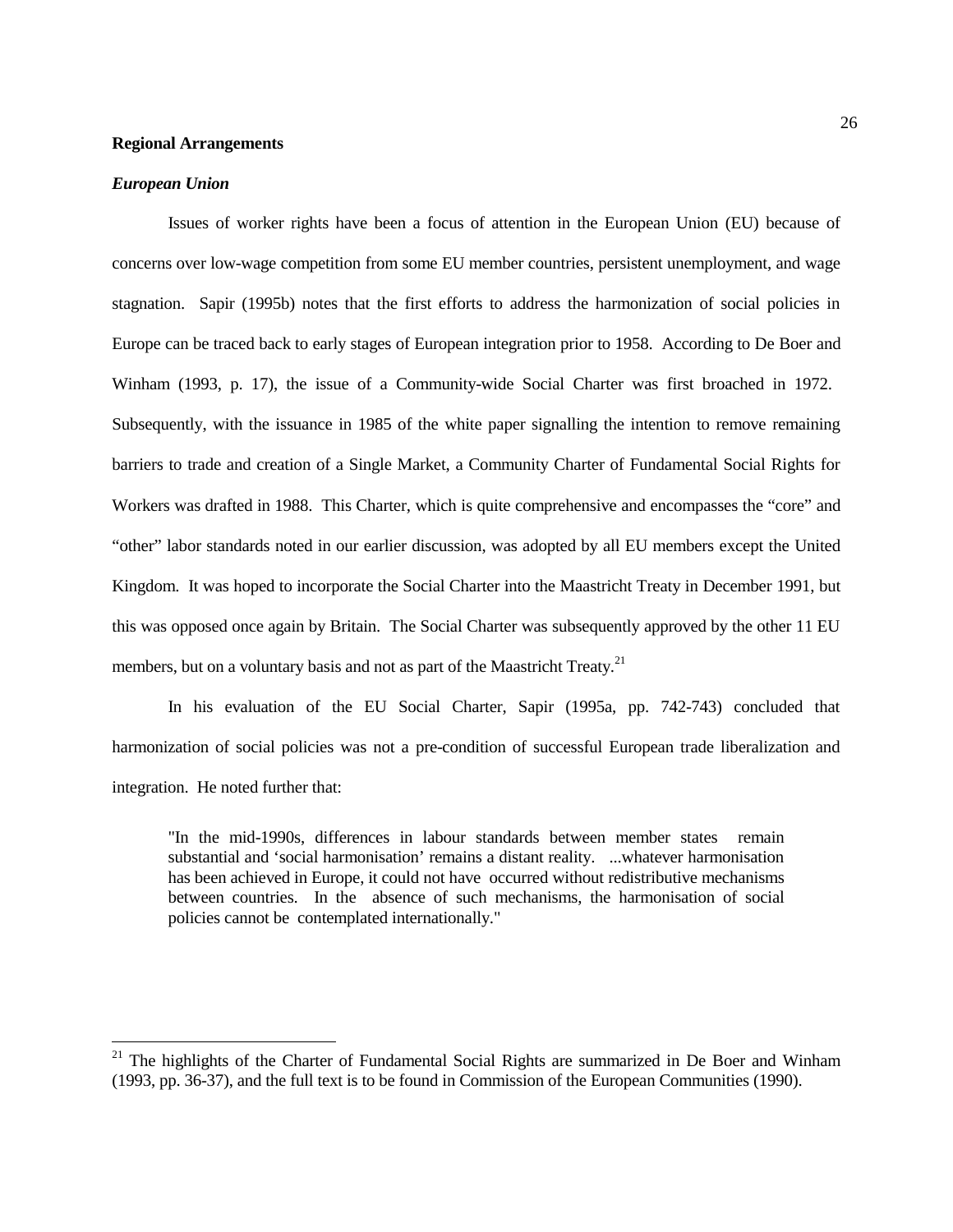## **Regional Arrangements**

#### *European Union*

 $\overline{a}$ 

Issues of worker rights have been a focus of attention in the European Union (EU) because of concerns over low-wage competition from some EU member countries, persistent unemployment, and wage stagnation. Sapir (1995b) notes that the first efforts to address the harmonization of social policies in Europe can be traced back to early stages of European integration prior to 1958. According to De Boer and Winham (1993, p. 17), the issue of a Community-wide Social Charter was first broached in 1972. Subsequently, with the issuance in 1985 of the white paper signalling the intention to remove remaining barriers to trade and creation of a Single Market, a Community Charter of Fundamental Social Rights for Workers was drafted in 1988. This Charter, which is quite comprehensive and encompasses the "core" and "other" labor standards noted in our earlier discussion, was adopted by all EU members except the United Kingdom. It was hoped to incorporate the Social Charter into the Maastricht Treaty in December 1991, but this was opposed once again by Britain. The Social Charter was subsequently approved by the other 11 EU members, but on a voluntary basis and not as part of the Maastricht Treaty.<sup>21</sup>

In his evaluation of the EU Social Charter, Sapir (1995a, pp. 742-743) concluded that harmonization of social policies was not a pre-condition of successful European trade liberalization and integration. He noted further that:

"In the mid-1990s, differences in labour standards between member states remain substantial and 'social harmonisation' remains a distant reality. ...whatever harmonisation has been achieved in Europe, it could not have occurred without redistributive mechanisms between countries. In the absence of such mechanisms, the harmonisation of social policies cannot be contemplated internationally."

<sup>&</sup>lt;sup>21</sup> The highlights of the Charter of Fundamental Social Rights are summarized in De Boer and Winham (1993, pp. 36-37), and the full text is to be found in Commission of the European Communities (1990).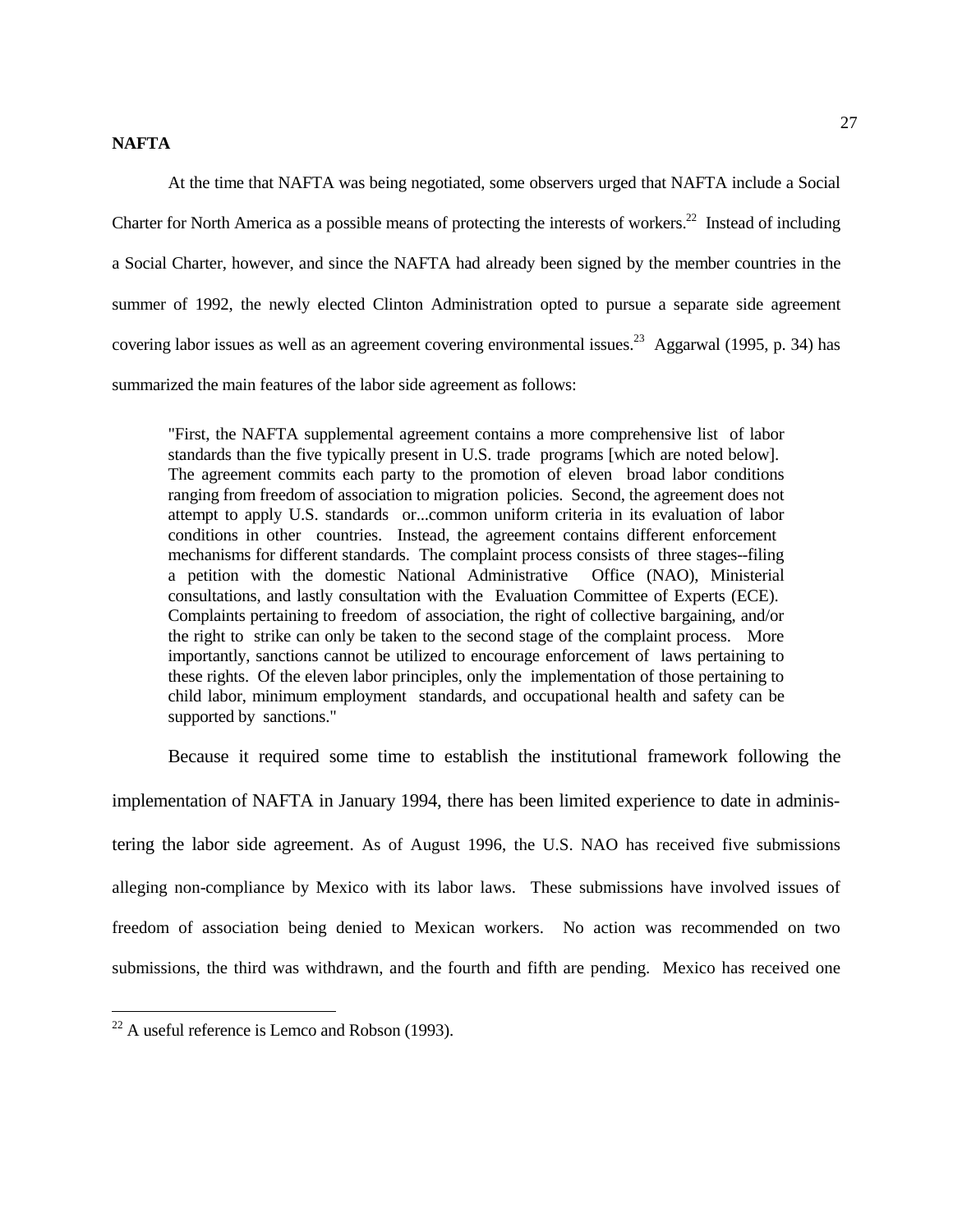### **NAFTA**

At the time that NAFTA was being negotiated, some observers urged that NAFTA include a Social Charter for North America as a possible means of protecting the interests of workers.<sup>22</sup> Instead of including a Social Charter, however, and since the NAFTA had already been signed by the member countries in the summer of 1992, the newly elected Clinton Administration opted to pursue a separate side agreement covering labor issues as well as an agreement covering environmental issues.<sup>23</sup> Aggarwal (1995, p. 34) has summarized the main features of the labor side agreement as follows:

"First, the NAFTA supplemental agreement contains a more comprehensive list of labor standards than the five typically present in U.S. trade programs [which are noted below]. The agreement commits each party to the promotion of eleven broad labor conditions ranging from freedom of association to migration policies. Second, the agreement does not attempt to apply U.S. standards or...common uniform criteria in its evaluation of labor conditions in other countries. Instead, the agreement contains different enforcement mechanisms for different standards. The complaint process consists of three stages--filing a petition with the domestic National Administrative Office (NAO), Ministerial consultations, and lastly consultation with the Evaluation Committee of Experts (ECE). Complaints pertaining to freedom of association, the right of collective bargaining, and/or the right to strike can only be taken to the second stage of the complaint process. More importantly, sanctions cannot be utilized to encourage enforcement of laws pertaining to these rights. Of the eleven labor principles, only the implementation of those pertaining to child labor, minimum employment standards, and occupational health and safety can be supported by sanctions."

Because it required some time to establish the institutional framework following the implementation of NAFTA in January 1994, there has been limited experience to date in administering the labor side agreement. As of August 1996, the U.S. NAO has received five submissions alleging non-compliance by Mexico with its labor laws. These submissions have involved issues of freedom of association being denied to Mexican workers. No action was recommended on two submissions, the third was withdrawn, and the fourth and fifth are pending. Mexico has received one

 $22$  A useful reference is Lemco and Robson (1993).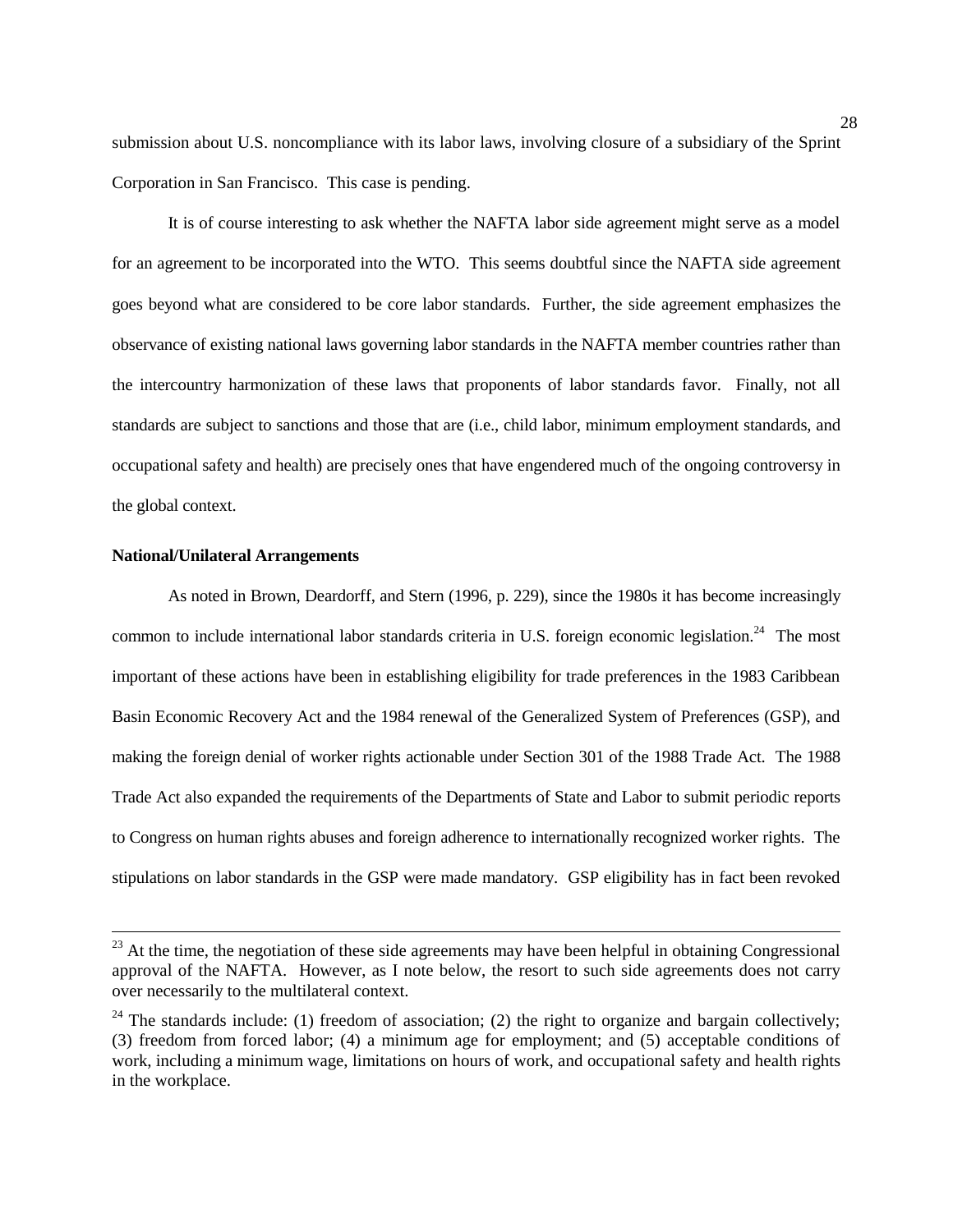submission about U.S. noncompliance with its labor laws, involving closure of a subsidiary of the Sprint Corporation in San Francisco. This case is pending.

It is of course interesting to ask whether the NAFTA labor side agreement might serve as a model for an agreement to be incorporated into the WTO. This seems doubtful since the NAFTA side agreement goes beyond what are considered to be core labor standards. Further, the side agreement emphasizes the observance of existing national laws governing labor standards in the NAFTA member countries rather than the intercountry harmonization of these laws that proponents of labor standards favor. Finally, not all standards are subject to sanctions and those that are (i.e., child labor, minimum employment standards, and occupational safety and health) are precisely ones that have engendered much of the ongoing controversy in the global context.

# **National/Unilateral Arrangements**

 $\overline{a}$ 

As noted in Brown, Deardorff, and Stern (1996, p. 229), since the 1980s it has become increasingly common to include international labor standards criteria in U.S. foreign economic legislation.<sup>24</sup> The most important of these actions have been in establishing eligibility for trade preferences in the 1983 Caribbean Basin Economic Recovery Act and the 1984 renewal of the Generalized System of Preferences (GSP), and making the foreign denial of worker rights actionable under Section 301 of the 1988 Trade Act. The 1988 Trade Act also expanded the requirements of the Departments of State and Labor to submit periodic reports to Congress on human rights abuses and foreign adherence to internationally recognized worker rights. The stipulations on labor standards in the GSP were made mandatory. GSP eligibility has in fact been revoked

<sup>&</sup>lt;sup>23</sup> At the time, the negotiation of these side agreements may have been helpful in obtaining Congressional approval of the NAFTA. However, as I note below, the resort to such side agreements does not carry over necessarily to the multilateral context.

 $24$  The standards include: (1) freedom of association; (2) the right to organize and bargain collectively; (3) freedom from forced labor; (4) a minimum age for employment; and (5) acceptable conditions of work, including a minimum wage, limitations on hours of work, and occupational safety and health rights in the workplace.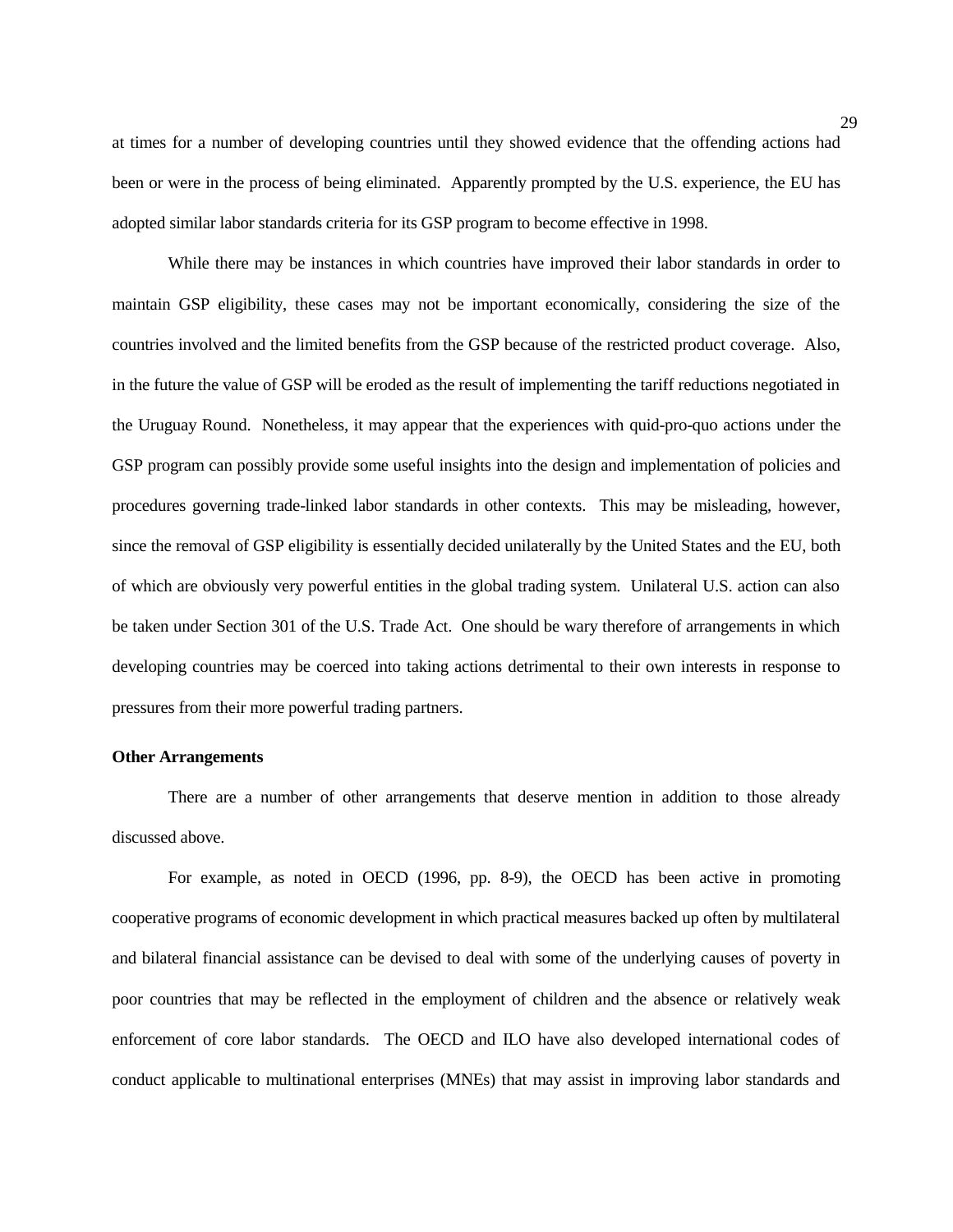at times for a number of developing countries until they showed evidence that the offending actions had been or were in the process of being eliminated. Apparently prompted by the U.S. experience, the EU has adopted similar labor standards criteria for its GSP program to become effective in 1998.

While there may be instances in which countries have improved their labor standards in order to maintain GSP eligibility, these cases may not be important economically, considering the size of the countries involved and the limited benefits from the GSP because of the restricted product coverage. Also, in the future the value of GSP will be eroded as the result of implementing the tariff reductions negotiated in the Uruguay Round. Nonetheless, it may appear that the experiences with quid-pro-quo actions under the GSP program can possibly provide some useful insights into the design and implementation of policies and procedures governing trade-linked labor standards in other contexts. This may be misleading, however, since the removal of GSP eligibility is essentially decided unilaterally by the United States and the EU, both of which are obviously very powerful entities in the global trading system. Unilateral U.S. action can also be taken under Section 301 of the U.S. Trade Act. One should be wary therefore of arrangements in which developing countries may be coerced into taking actions detrimental to their own interests in response to pressures from their more powerful trading partners.

#### **Other Arrangements**

There are a number of other arrangements that deserve mention in addition to those already discussed above.

For example, as noted in OECD (1996, pp. 8-9), the OECD has been active in promoting cooperative programs of economic development in which practical measures backed up often by multilateral and bilateral financial assistance can be devised to deal with some of the underlying causes of poverty in poor countries that may be reflected in the employment of children and the absence or relatively weak enforcement of core labor standards. The OECD and ILO have also developed international codes of conduct applicable to multinational enterprises (MNEs) that may assist in improving labor standards and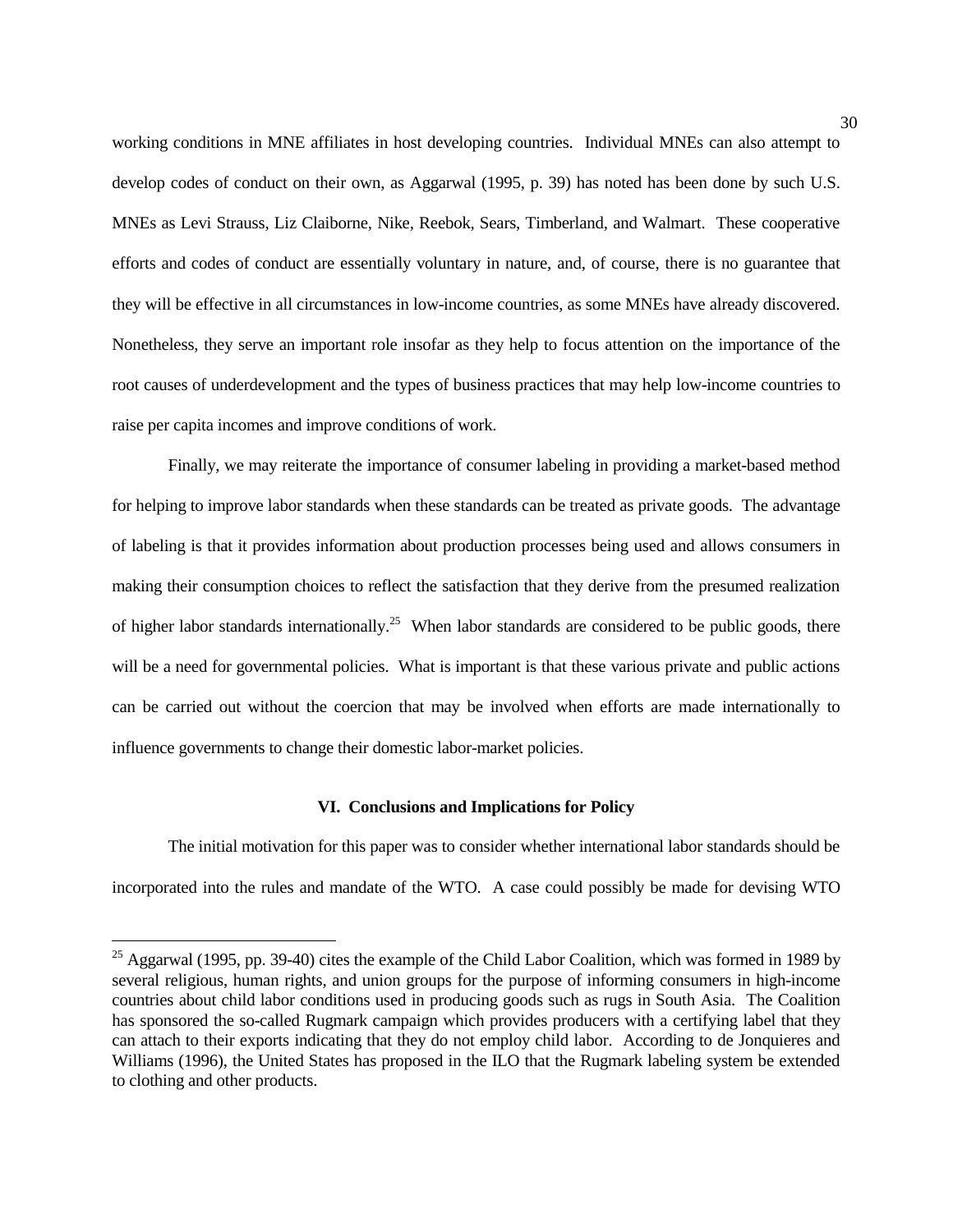working conditions in MNE affiliates in host developing countries. Individual MNEs can also attempt to develop codes of conduct on their own, as Aggarwal (1995, p. 39) has noted has been done by such U.S. MNEs as Levi Strauss, Liz Claiborne, Nike, Reebok, Sears, Timberland, and Walmart. These cooperative efforts and codes of conduct are essentially voluntary in nature, and, of course, there is no guarantee that they will be effective in all circumstances in low-income countries, as some MNEs have already discovered. Nonetheless, they serve an important role insofar as they help to focus attention on the importance of the root causes of underdevelopment and the types of business practices that may help low-income countries to raise per capita incomes and improve conditions of work.

Finally, we may reiterate the importance of consumer labeling in providing a market-based method for helping to improve labor standards when these standards can be treated as private goods. The advantage of labeling is that it provides information about production processes being used and allows consumers in making their consumption choices to reflect the satisfaction that they derive from the presumed realization of higher labor standards internationally.<sup>25</sup> When labor standards are considered to be public goods, there will be a need for governmental policies. What is important is that these various private and public actions can be carried out without the coercion that may be involved when efforts are made internationally to influence governments to change their domestic labor-market policies.

## **VI. Conclusions and Implications for Policy**

The initial motivation for this paper was to consider whether international labor standards should be incorporated into the rules and mandate of the WTO. A case could possibly be made for devising WTO

<sup>&</sup>lt;sup>25</sup> Aggarwal (1995, pp. 39-40) cites the example of the Child Labor Coalition, which was formed in 1989 by several religious, human rights, and union groups for the purpose of informing consumers in high-income countries about child labor conditions used in producing goods such as rugs in South Asia. The Coalition has sponsored the so-called Rugmark campaign which provides producers with a certifying label that they can attach to their exports indicating that they do not employ child labor. According to de Jonquieres and Williams (1996), the United States has proposed in the ILO that the Rugmark labeling system be extended to clothing and other products.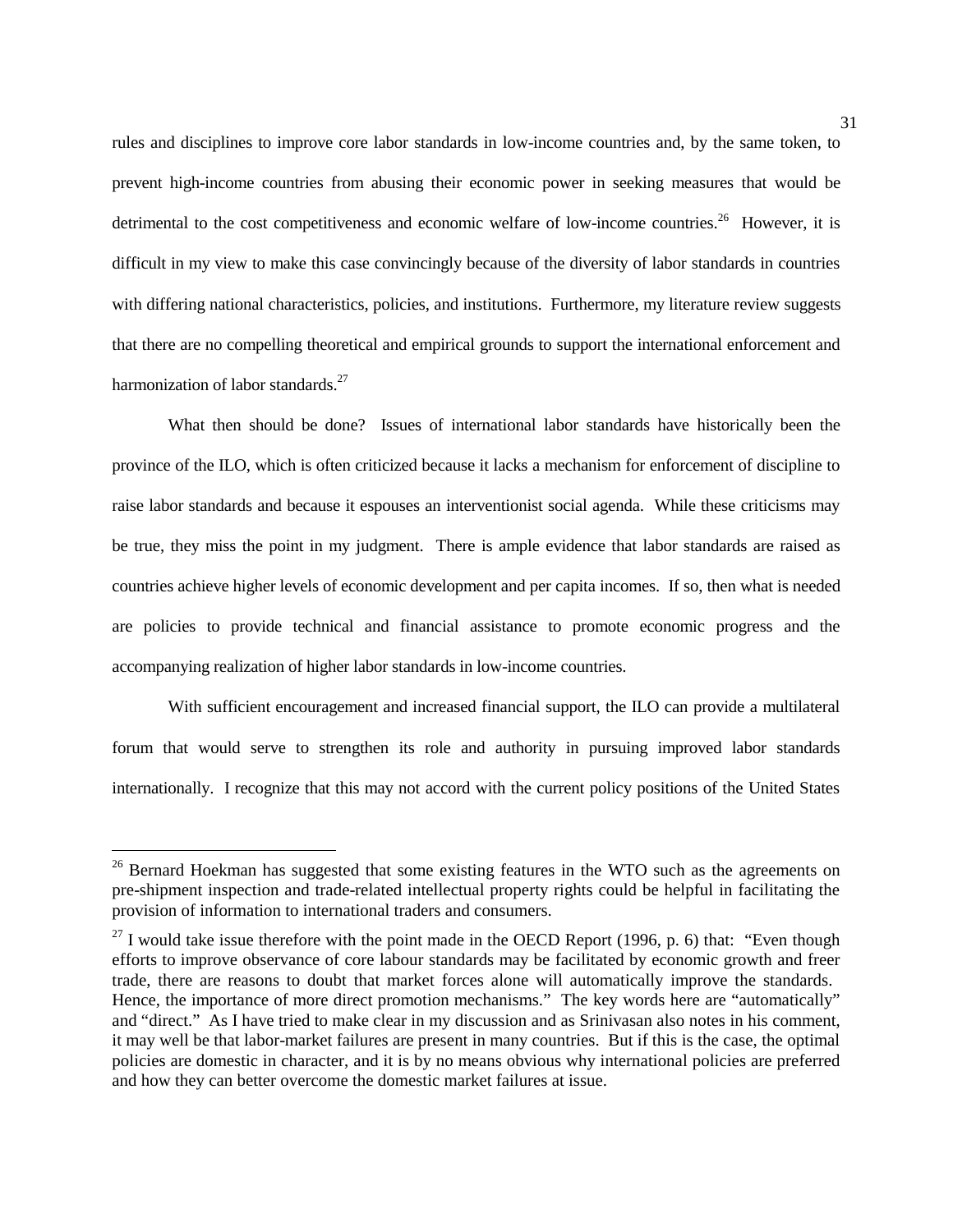rules and disciplines to improve core labor standards in low-income countries and, by the same token, to prevent high-income countries from abusing their economic power in seeking measures that would be detrimental to the cost competitiveness and economic welfare of low-income countries.<sup>26</sup> However, it is difficult in my view to make this case convincingly because of the diversity of labor standards in countries with differing national characteristics, policies, and institutions. Furthermore, my literature review suggests that there are no compelling theoretical and empirical grounds to support the international enforcement and harmonization of labor standards.<sup>27</sup>

What then should be done? Issues of international labor standards have historically been the province of the ILO, which is often criticized because it lacks a mechanism for enforcement of discipline to raise labor standards and because it espouses an interventionist social agenda. While these criticisms may be true, they miss the point in my judgment. There is ample evidence that labor standards are raised as countries achieve higher levels of economic development and per capita incomes. If so, then what is needed are policies to provide technical and financial assistance to promote economic progress and the accompanying realization of higher labor standards in low-income countries.

With sufficient encouragement and increased financial support, the ILO can provide a multilateral forum that would serve to strengthen its role and authority in pursuing improved labor standards internationally. I recognize that this may not accord with the current policy positions of the United States

<sup>&</sup>lt;sup>26</sup> Bernard Hoekman has suggested that some existing features in the WTO such as the agreements on pre-shipment inspection and trade-related intellectual property rights could be helpful in facilitating the provision of information to international traders and consumers.

 $^{27}$  I would take issue therefore with the point made in the OECD Report (1996, p. 6) that: "Even though efforts to improve observance of core labour standards may be facilitated by economic growth and freer trade, there are reasons to doubt that market forces alone will automatically improve the standards. Hence, the importance of more direct promotion mechanisms." The key words here are "automatically" and "direct." As I have tried to make clear in my discussion and as Srinivasan also notes in his comment, it may well be that labor-market failures are present in many countries. But if this is the case, the optimal policies are domestic in character, and it is by no means obvious why international policies are preferred and how they can better overcome the domestic market failures at issue.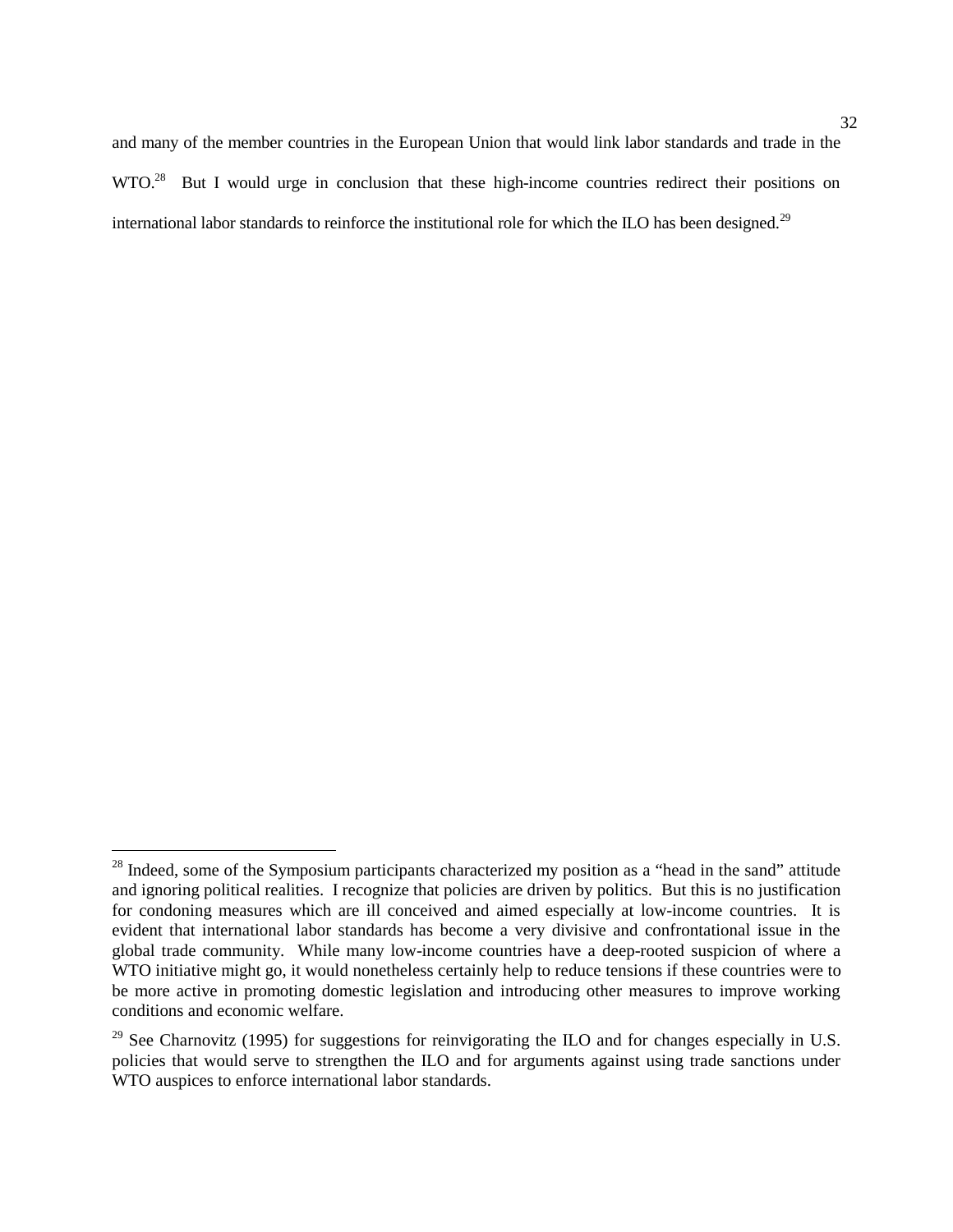and many of the member countries in the European Union that would link labor standards and trade in the WTO.<sup>28</sup> But I would urge in conclusion that these high-income countries redirect their positions on international labor standards to reinforce the institutional role for which the ILO has been designed.<sup>29</sup>

<sup>&</sup>lt;sup>28</sup> Indeed, some of the Symposium participants characterized my position as a "head in the sand" attitude and ignoring political realities. I recognize that policies are driven by politics. But this is no justification for condoning measures which are ill conceived and aimed especially at low-income countries. It is evident that international labor standards has become a very divisive and confrontational issue in the global trade community. While many low-income countries have a deep-rooted suspicion of where a WTO initiative might go, it would nonetheless certainly help to reduce tensions if these countries were to be more active in promoting domestic legislation and introducing other measures to improve working conditions and economic welfare.

<sup>&</sup>lt;sup>29</sup> See Charnovitz (1995) for suggestions for reinvigorating the ILO and for changes especially in U.S. policies that would serve to strengthen the ILO and for arguments against using trade sanctions under WTO auspices to enforce international labor standards.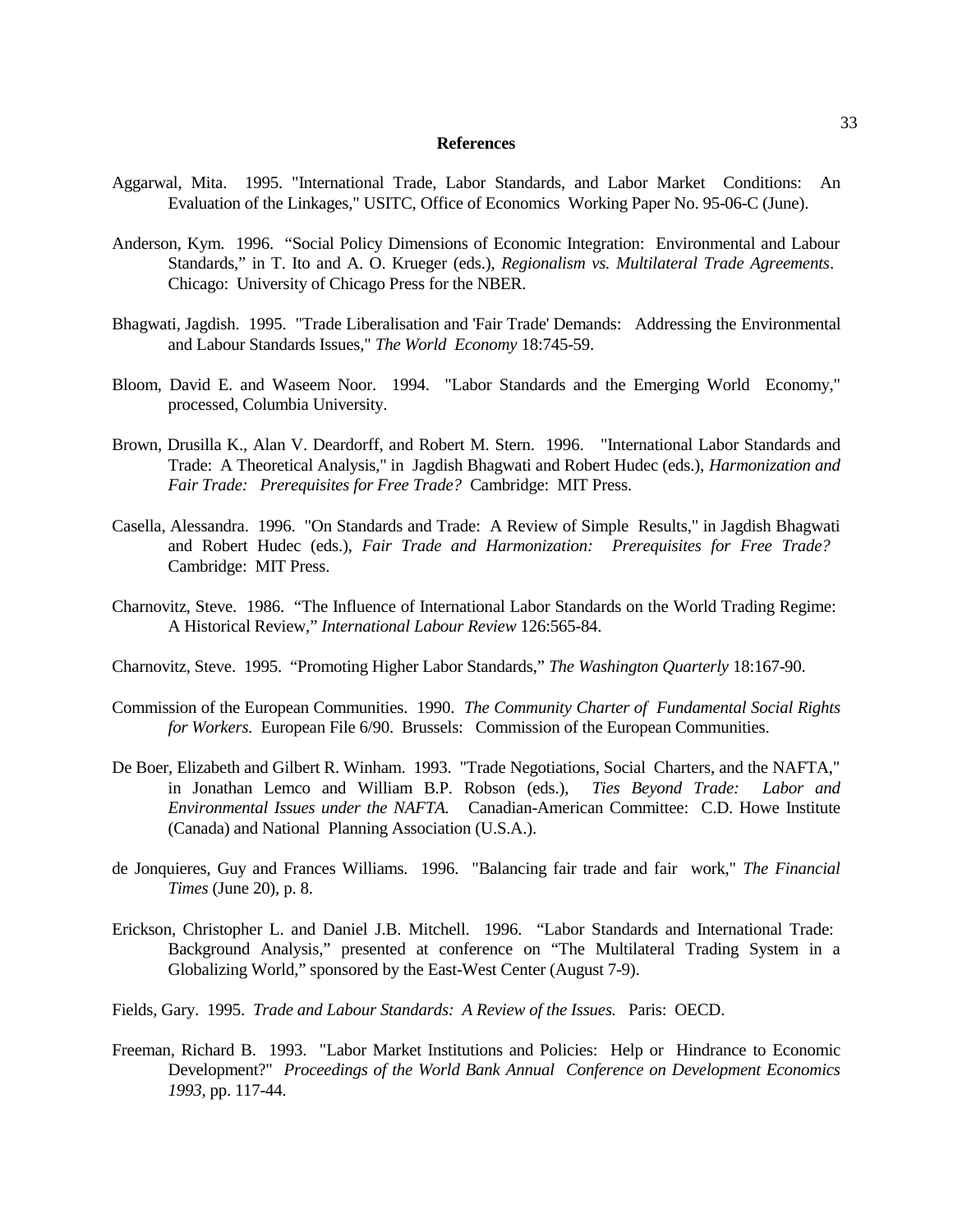#### **References**

- Aggarwal, Mita. 1995. "International Trade, Labor Standards, and Labor Market Conditions: An Evaluation of the Linkages," USITC, Office of Economics Working Paper No. 95-06-C (June).
- Anderson, Kym. 1996. "Social Policy Dimensions of Economic Integration: Environmental and Labour Standards," in T. Ito and A. O. Krueger (eds.), *Regionalism vs. Multilateral Trade Agreements*. Chicago: University of Chicago Press for the NBER.
- Bhagwati, Jagdish. 1995. "Trade Liberalisation and 'Fair Trade' Demands: Addressing the Environmental and Labour Standards Issues," *The World Economy* 18:745-59.
- Bloom, David E. and Waseem Noor. 1994. "Labor Standards and the Emerging World Economy," processed, Columbia University.
- Brown, Drusilla K., Alan V. Deardorff, and Robert M. Stern. 1996. "International Labor Standards and Trade: A Theoretical Analysis," in Jagdish Bhagwati and Robert Hudec (eds.), *Harmonization and Fair Trade: Prerequisites for Free Trade?* Cambridge: MIT Press.
- Casella, Alessandra. 1996. "On Standards and Trade: A Review of Simple Results," in Jagdish Bhagwati and Robert Hudec (eds.), *Fair Trade and Harmonization: Prerequisites for Free Trade?* Cambridge: MIT Press.
- Charnovitz, Steve. 1986. "The Influence of International Labor Standards on the World Trading Regime: A Historical Review," *International Labour Review* 126:565-84.
- Charnovitz, Steve. 1995. "Promoting Higher Labor Standards," *The Washington Quarterly* 18:167-90.
- Commission of the European Communities. 1990. *The Community Charter of Fundamental Social Rights for Workers.* European File 6/90. Brussels: Commission of the European Communities.
- De Boer, Elizabeth and Gilbert R. Winham. 1993. "Trade Negotiations, Social Charters, and the NAFTA," in Jonathan Lemco and William B.P. Robson (eds.), *Ties Beyond Trade: Labor and Environmental Issues under the NAFTA.* Canadian-American Committee: C.D. Howe Institute (Canada) and National Planning Association (U.S.A.).
- de Jonquieres, Guy and Frances Williams. 1996. "Balancing fair trade and fair work," *The Financial Times* (June 20), p. 8.
- Erickson, Christopher L. and Daniel J.B. Mitchell. 1996. "Labor Standards and International Trade: Background Analysis," presented at conference on "The Multilateral Trading System in a Globalizing World," sponsored by the East-West Center (August 7-9).
- Fields, Gary. 1995. *Trade and Labour Standards: A Review of the Issues.* Paris: OECD.
- Freeman, Richard B. 1993. "Labor Market Institutions and Policies: Help or Hindrance to Economic Development?" *Proceedings of the World Bank Annual Conference on Development Economics 1993,* pp. 117-44.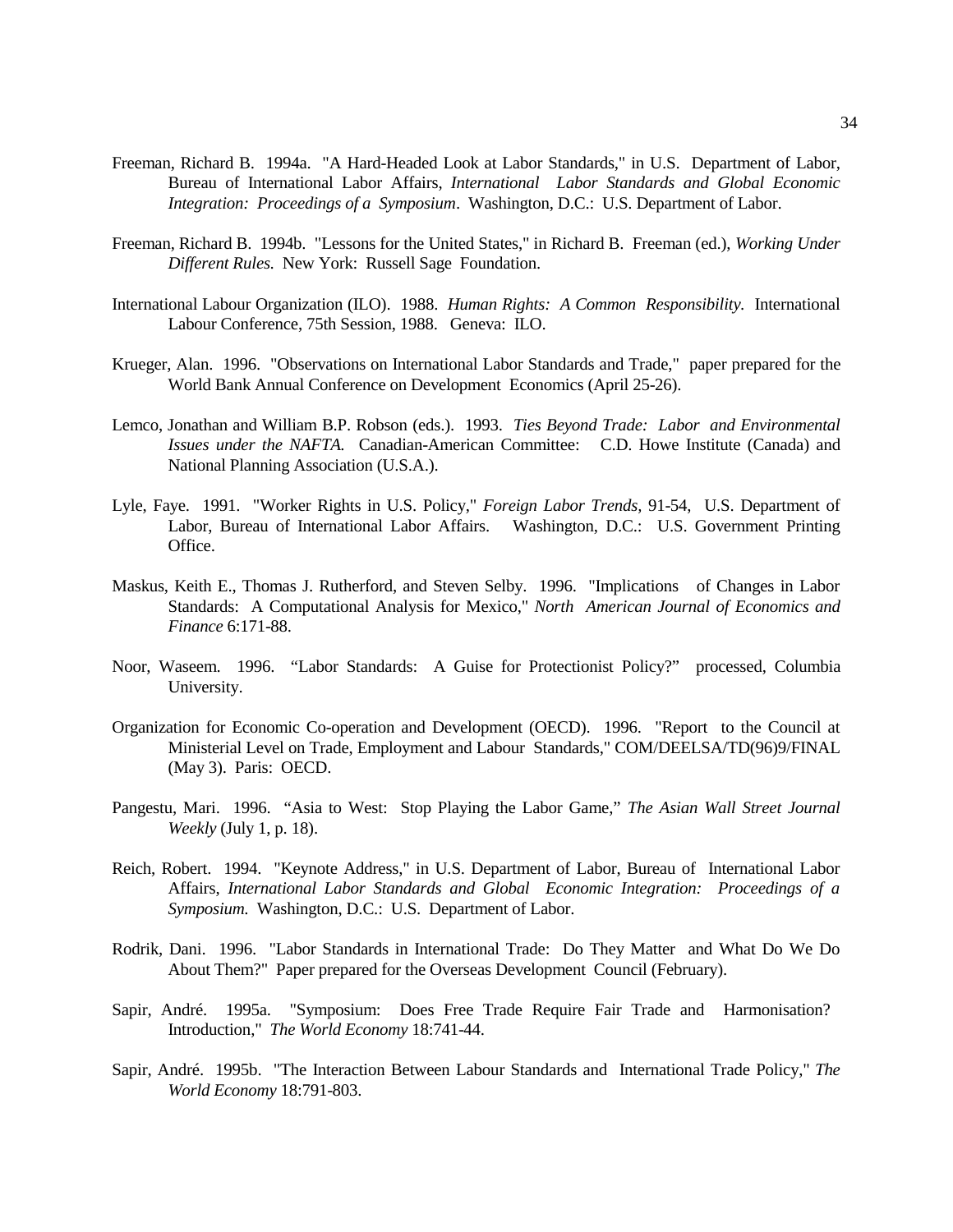- Freeman, Richard B. 1994a. "A Hard-Headed Look at Labor Standards," in U.S. Department of Labor, Bureau of International Labor Affairs, *International Labor Standards and Global Economic Integration: Proceedings of a Symposium*. Washington, D.C.: U.S. Department of Labor.
- Freeman, Richard B. 1994b. "Lessons for the United States," in Richard B. Freeman (ed.), *Working Under Different Rules.* New York: Russell Sage Foundation.
- International Labour Organization (ILO). 1988. *Human Rights: A Common Responsibility.* International Labour Conference, 75th Session, 1988. Geneva: ILO.
- Krueger, Alan. 1996. "Observations on International Labor Standards and Trade," paper prepared for the World Bank Annual Conference on Development Economics (April 25-26).
- Lemco, Jonathan and William B.P. Robson (eds.). 1993. *Ties Beyond Trade: Labor and Environmental Issues under the NAFTA.* Canadian-American Committee: C.D. Howe Institute (Canada) and National Planning Association (U.S.A.).
- Lyle, Faye. 1991. "Worker Rights in U.S. Policy," *Foreign Labor Trends,* 91-54, U.S. Department of Labor, Bureau of International Labor Affairs. Washington, D.C.: U.S. Government Printing Office.
- Maskus, Keith E., Thomas J. Rutherford, and Steven Selby. 1996. "Implications of Changes in Labor Standards: A Computational Analysis for Mexico," *North American Journal of Economics and Finance* 6:171-88.
- Noor, Waseem. 1996. "Labor Standards: A Guise for Protectionist Policy?" processed, Columbia University.
- Organization for Economic Co-operation and Development (OECD). 1996. "Report to the Council at Ministerial Level on Trade, Employment and Labour Standards," COM/DEELSA/TD(96)9/FINAL (May 3). Paris: OECD.
- Pangestu, Mari. 1996. "Asia to West: Stop Playing the Labor Game," *The Asian Wall Street Journal Weekly* (July 1, p. 18).
- Reich, Robert. 1994. "Keynote Address," in U.S. Department of Labor, Bureau of International Labor Affairs, *International Labor Standards and Global Economic Integration: Proceedings of a Symposium.* Washington, D.C.: U.S. Department of Labor.
- Rodrik, Dani. 1996. "Labor Standards in International Trade: Do They Matter and What Do We Do About Them?" Paper prepared for the Overseas Development Council (February).
- Sapir, André. 1995a. "Symposium: Does Free Trade Require Fair Trade and Harmonisation? Introduction," *The World Economy* 18:741-44.
- Sapir, André. 1995b. "The Interaction Between Labour Standards and International Trade Policy," *The World Economy* 18:791-803.